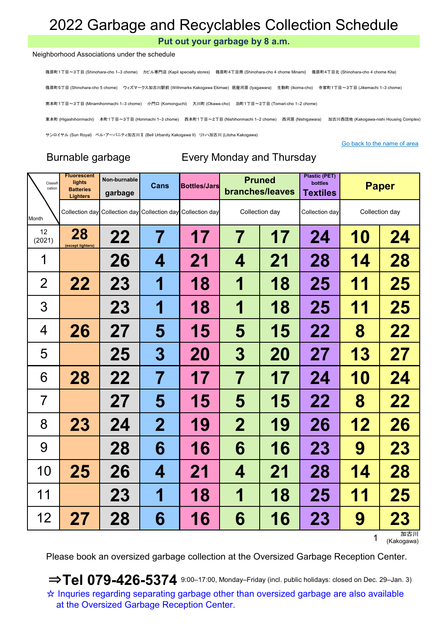Put out your garbage by 8 a.m.

#### Neighborhood Associations under the schedule

篠原町1丁目~3丁目 (Shinohara-cho 1–3 chome) カピル専門店 (Kapil specialty stores) 篠原町4丁目南 (Shinohara-cho 4 chome Minami) 篠原町4丁目北 (Shinohara-cho 4 chome Kita)

篠原町5丁目 (Shinohara-cho 5 chome) ウィズマークス加古川駅前 (Withmarks Kakogawa Ekimae) 居屋河原 (Iyagawara) 生駒町 (Ikoma-cho) 寺家町1丁目~3丁目 (Jikemachi 1–3 chome)

南本町1丁目~3丁目 (Minamihonmachi 1–3 chome) 小門口 (Komonguchi) 大川町 (Okawa-cho) 泊町1丁目~2丁目 (Tomari-cho 1–2 chome)

東本町 (Higashihonmachi) 本町1丁目~3丁目 (Honmachi 1–3 chome) 西本町1丁目~2丁目 (Nishihonmachi 1–2 chome) 西河原 (Nishigawara) 加古川西団地 (Kakogawa-nishi Housing Complex)

サンロイヤル (Sun Royal) ベル・アーバニティ加古川Ⅱ (Bell Urbanity Kakogawa II) リトハ加古川 (Litoha Kakogawa)

Go back to the name of area

## Burnable garbage Every Monday and Thursday

| Classifi<br>cation | <b>Fluorescent</b><br>lights<br><b>Batteries</b><br><b>Lighters</b> | Non-burnable<br>garbage | Cans        | <b>Bottles/Jars</b>                                         |             | <b>Pruned</b><br>branches/leaves | <b>Plastic (PET)</b><br>bottles<br><b>Textiles</b> |           | <b>Paper</b>   |
|--------------------|---------------------------------------------------------------------|-------------------------|-------------|-------------------------------------------------------------|-------------|----------------------------------|----------------------------------------------------|-----------|----------------|
| Month              |                                                                     |                         |             | Collection day Collection day Collection day Collection day |             | Collection day                   | Collection day                                     |           | Collection day |
| 12<br>(2021)       | 28<br>(except lighters)                                             | 22                      | 7           | 17                                                          | 7           | 17                               | 24                                                 | 10        | 24             |
| 1                  |                                                                     | 26                      | 4           | 21                                                          | 4           | 21                               | 28                                                 | 14        | 28             |
| $\overline{2}$     | 22                                                                  | <b>23</b>               | 1           | 18                                                          | 1           | 18                               | 25                                                 | 11        | 25             |
| 3                  |                                                                     | <b>23</b>               | 1           | 18                                                          | 1           | 18                               | 25                                                 | 11        | 25             |
| 4                  | 26                                                                  | 27                      | 5           | 15                                                          | 5           | 15                               | 22                                                 | 8         | 22             |
| 5                  |                                                                     | 25                      | 3           | <b>20</b>                                                   | 3           | <b>20</b>                        | 27                                                 | 13        | 27             |
| 6                  | 28                                                                  | 22                      | 7           | 17                                                          | 7           | 17                               | 24                                                 | <b>10</b> | 24             |
| $\overline{7}$     |                                                                     | 27                      | 5           | 15                                                          | 5           | 15                               | 22                                                 | 8         | 22             |
| 8                  | 23                                                                  | 24                      | $\mathbf 2$ | 19                                                          | $\mathbf 2$ | 19                               | 26                                                 | 12        | 26             |
| 9                  |                                                                     | 28                      | 6           | 16                                                          | 6           | 16                               | <b>23</b>                                          | 9         | 23             |
| 10                 | 25                                                                  | 26                      | 4           | 21                                                          | 4           | 21                               | 28                                                 | 14        | 28             |
| 11                 |                                                                     | 23                      | 1           | 18                                                          | 1           | 18                               | 25                                                 | 11        | 25             |
| 12                 | 27                                                                  | 28                      | 6           | 16                                                          | 6           | 16                               | 23                                                 | 9         | 23<br>加古田      |

加古川<br>(Kakogawa)

Please book an oversized garbage collection at the Oversized Garbage Reception Center.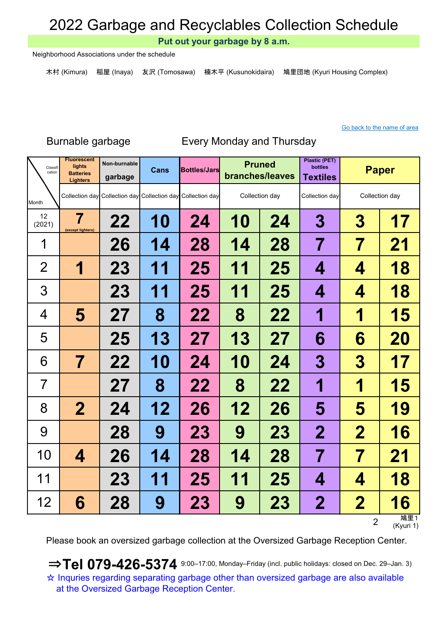Put out your garbage by 8 a.m.

Neighborhood Associations under the schedule

木村 (Kimura) 稲屋 (Inaya) 友沢 (Tomosawa) 楠木平 (Kusunokidaira) 鳩里団地 (Kyuri Housing Complex)

### Go back to the name of area

### Burnable garbage Every Monday and Thursday

| Classifi<br>cation | <b>Fluorescent</b><br>lights<br><b>Batteries</b><br><b>Lighters</b> | Non-burnable<br>garbage | Cans      | <b>Bottles/Jars</b>                                         |           | <b>Pruned</b><br>branches/leaves | <b>Plastic (PET)</b><br>bottles<br><b>Textiles</b> |                         | <b>Paper</b>     |
|--------------------|---------------------------------------------------------------------|-------------------------|-----------|-------------------------------------------------------------|-----------|----------------------------------|----------------------------------------------------|-------------------------|------------------|
| Month              |                                                                     |                         |           | Collection day Collection day Collection day Collection day |           | Collection day                   | Collection day                                     |                         | Collection day   |
| 12<br>(2021)       | 7<br>(except lighters)                                              | 22                      | <b>10</b> | 24                                                          | <b>10</b> | 24                               | 3                                                  | 3                       | 17               |
| 1                  |                                                                     | 26                      | 14        | 28                                                          | 14        | 28                               | 7                                                  | 7                       | 21               |
| $\overline{2}$     | 1                                                                   | <b>23</b>               | 11        | 25                                                          | 11        | 25                               | 4                                                  | 4                       | 18               |
| 3                  |                                                                     | <b>23</b>               | 11        | 25                                                          | 11        | 25                               | 4                                                  | 4                       | 18               |
| 4                  | 5                                                                   | 27                      | 8         | 22                                                          | 8         | 22                               | 1                                                  | 1                       | 15               |
| 5                  |                                                                     | 25                      | <b>13</b> | 27                                                          | 13        | 27                               | 6                                                  | 6                       | <b>20</b>        |
| 6                  | 7                                                                   | 22                      | <b>10</b> | 24                                                          | 10        | 24                               | 3                                                  | $\boldsymbol{3}$        | 17               |
| $\overline{7}$     |                                                                     | 27                      | 8         | 22                                                          | 8         | 22                               | 1                                                  | 1                       | 15               |
| 8                  | $\mathbf 2$                                                         | 24                      | 12        | 26                                                          | 12        | 26                               | 5                                                  | 5                       | 19               |
| 9                  |                                                                     | 28                      | 9         | <b>23</b>                                                   | 9         | <b>23</b>                        | $\mathbf 2$                                        | $\overline{\mathbf{2}}$ | 16               |
| 10                 | 4                                                                   | 26                      | 14        | 28                                                          | 14        | 28                               | 7                                                  | 7                       | 21               |
| 11                 |                                                                     | <b>23</b>               | 11        | 25                                                          | 11        | 25                               | 4                                                  | 4                       | 18               |
| 12                 | 6                                                                   | 28                      | 9         | 23                                                          | 9         | <b>23</b>                        | $\mathbf 2$                                        | $\overline{2}$          | 16               |
|                    |                                                                     |                         |           |                                                             |           |                                  |                                                    | $\overline{2}$          | 鳩里1<br>(Kyuri 1) |

Please book an oversized garbage collection at the Oversized Garbage Reception Center.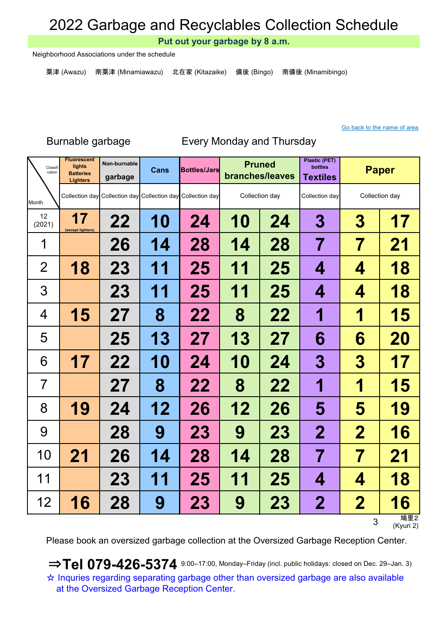Put out your garbage by 8 a.m.

Neighborhood Associations under the schedule

粟津 (Awazu) 南粟津 (Minamiawazu) 北在家 (Kitazaike) 備後 (Bingo) 南備後 (Minamibingo)

### Go back to the name of area

### Burnable garbage Every Monday and Thursday

| Classifi<br>cation | <b>Fluorescent</b><br>lights<br><b>Batteries</b><br><b>Lighters</b> | Non-burnable<br>garbage | Cans      | <b>Bottles/Jars</b>                                         |           | <b>Pruned</b><br>branches/leaves | <b>Plastic (PET)</b><br>bottles<br><b>Textiles</b> | <b>Paper</b>            |                  |
|--------------------|---------------------------------------------------------------------|-------------------------|-----------|-------------------------------------------------------------|-----------|----------------------------------|----------------------------------------------------|-------------------------|------------------|
| Month              |                                                                     |                         |           | Collection day Collection day Collection day Collection day |           | Collection day                   | Collection day                                     |                         | Collection day   |
| 12<br>(2021)       | 17<br>(except lighters)                                             | 22                      | <b>10</b> | 24                                                          | 10        | 24                               | 3                                                  | 3                       | 17               |
| 1                  |                                                                     | 26                      | 14        | 28                                                          | 14        | 28                               | 7                                                  | 7                       | 21               |
| $\overline{2}$     | 18                                                                  | 23                      | 11        | 25                                                          | 1<br>1    | 25                               | 4                                                  | 4                       | 18               |
| 3                  |                                                                     | <b>23</b>               | 11        | 25                                                          | 11        | 25                               | 4                                                  | 4                       | 18               |
| $\overline{4}$     | 15                                                                  | 27                      | 8         | 22                                                          | 8         | 22                               | 1                                                  | 1                       | 15               |
| 5                  |                                                                     | 25                      | 13        | 27                                                          | 13        | 27                               | 6                                                  | 6                       | 20               |
| 6                  | 17                                                                  | 22                      | <b>10</b> | 24                                                          | <b>10</b> | 24                               | 3                                                  | 3                       | 17               |
| 7                  |                                                                     | 27                      | 8         | 22                                                          | 8         | 22                               | 1                                                  | 1                       | 15               |
| 8                  | 19                                                                  | 24                      | 12        | 26                                                          | 12        | 26                               | 5                                                  | 5                       | 19               |
| 9                  |                                                                     | 28                      | 9         | <b>23</b>                                                   | 9         | 23                               | $\mathbf 2$                                        | $\overline{\mathbf{2}}$ | 16               |
| 10                 | 21                                                                  | 26                      | 14        | 28                                                          | 14        | 28                               | 7                                                  | 7                       | 21               |
| 11                 |                                                                     | <b>23</b>               | 11        | 25                                                          | 11        | 25                               | 4                                                  | 4                       | 18               |
| 12                 | 16                                                                  | 28                      | 9         | <b>23</b>                                                   | 9         | <b>23</b>                        | $\mathbf 2$                                        | $\overline{2}$          | 16               |
|                    |                                                                     |                         |           |                                                             |           |                                  |                                                    | 3                       | 鳩里2<br>(Kyuri 2) |

Please book an oversized garbage collection at the Oversized Garbage Reception Center.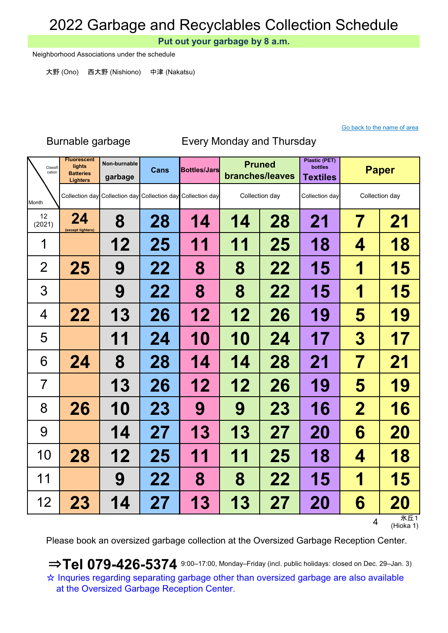Put out your garbage by 8 a.m.

Neighborhood Associations under the schedule

大野 (Ono) 西大野 (Nishiono) 中津 (Nakatsu)

#### Go back to the name of area

### Non-burnable Cans Bottles/Jars Pruned Plastic (PET) bottles garbage Cans Bottles/Jars Prince bottles bottles Paper Month 24 (except lighters) 8 | 28 | 14 | 14 | 28 | 21 | 7 | 21 12 | 25 | 11 | 11 | 25 | 18 |  $\,$  4  $\,$  | 18 25 | 9 | 22 | 8 | 8 | 22 | 15 | 1 | 15 9 | 22 | 8 | 8 | 22 | 15 | 1 | 15 22 | 13 | 26 | 12 | 12 | 26 | 19 | 5 | 19 11 | 24 | 10 | 10 | 24 | 17 | 3 | 17 24 | 8 | 28 | 14 | 14 | 28 | 21 | 7 | 21 13 | 26 | 12 | 12 | 26 | 19 | 5 | 19 26 | 10 | 23 | 9 | 9 | 23 | 16 | 2 | 16 14 | 27 | 13 | 13 | 27 | 20 | 6 | 20 28 | 12 | 25 | 11 | 11 | 25 | 18 |  $\,$  4 | 18 9 22 8 8 8 22 15 1 15 23 | 14 | 27 | 13 | 13 | 27 | 20 |  $\,$  6 | 20 12 (2021) Fluorescent lights **Batteries** Lighters 1 2 3 4 5 12 6 7 8 9 10 Classit Classifi **Lights** Non-burnable **Cans Bottles/Jars Pruned** Collection day Collection day Collection day Collection day Collection day Collection day Collection day 11

Burnable garbage Every Monday and Thursday

4 氷丘1 (Hioka 1)

Please book an oversized garbage collection at the Oversized Garbage Reception Center.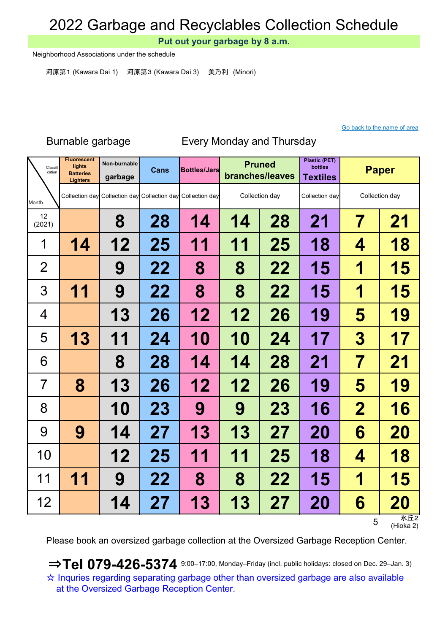Put out your garbage by 8 a.m.

Neighborhood Associations under the schedule

河原第1 (Kawara Dai 1) 河原第3 (Kawara Dai 3) 美乃利 (Minori)

#### Go back to the name of area

### Non-burnable Cans Bottles/Jars Pruned Plastic (PET) bottles garbage Cans Bottles/Jars Prince bottles bottles Paper Month 8 | 28 | 14 | 14 | 28 | 21 | 7 | 21 14 | 12 | 25 | 11 | 11 | 25 | 18 |  $\,$  4 | 18 9 | 22 | 8 | 8 | 22 | 15 | 1 | 15 11 | 9 | 22 | 8 | 8 | 22 | 15 | 1 | 15 13 | 26 | 12 | 12 | 26 | 19 | 5 | 19 13 | 11 | 24 | 10 | 10 | 24 | 17 | 3 | 17 8 | 28 | 14 | 14 | 28 | 21 | 7 | 21 8 | 13 | 26 | 12 | 12 | 26 | 19 | 5 | 19 10 | 23 | 9 | 9 | 23 | 16 | 2 | 16 9 | 14 | 27 | 13 | 13 | 27 | 20 | 6 | 20 12 | 25 | 11 | 11 | 25 | 18 |  $\,$  4  $\,$  | 18 11 | 9 | 22 | 8 | 8 | 22 | 15 | 1 | 15 14 | 27 | 13 | 13 | 27 | 20 | 6 | 20 12 (2021) Fluorescent lights **Batteries** Lighters 1 2 3 4 5 12 6 7 8 9 10 Classit Classifi **Lights** Non-burnable **Cans Bottles/Jars Pruned** Collection day Collection day Collection day Collection day Collection day Collection day Collection day 11

Burnable garbage Every Monday and Thursday

5 氷丘2 (Hioka 2)

Please book an oversized garbage collection at the Oversized Garbage Reception Center.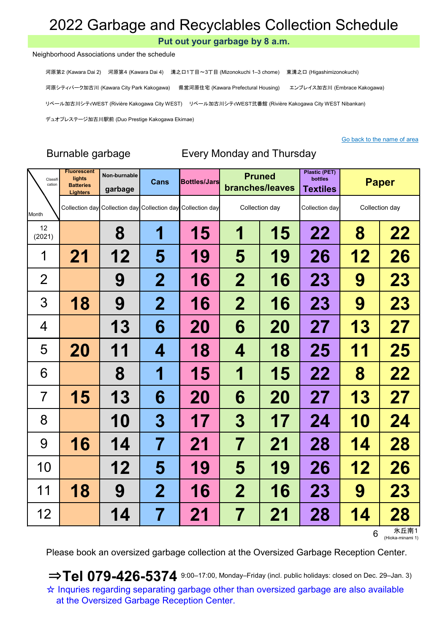Put out your garbage by 8 a.m.

#### Neighborhood Associations under the schedule

河原第2 (Kawara Dai 2) 河原第4 (Kawara Dai 4) 溝之口1丁目~3丁目 (Mizonokuchi 1–3 chome) 東溝之口 (Higashimizonokuchi) 河原シティパーク加古川 (Kawara City Park Kakogawa) 県営河原住宅 (Kawara Prefectural Housing) エンブレイス加古川 (Embrace Kakogawa) リベール加古川シティWEST (Rivière Kakogawa City WEST) リベール加古川シティWEST弐番館 (Rivière Kakogawa City WEST Nibankan) デュオプレステージ加古川駅前 (Duo Prestige Kakogawa Ekimae)

### Go back to the name of area

## Burnable garbage Every Monday and Thursday

| Classifi<br>cation | <b>Fluorescent</b><br>lights<br><b>Batteries</b><br><b>Lighters</b> | Non-burnable<br>garbage | <b>Cans</b>             | <b>Bottles/Jars</b>                                         |                         | <b>Pruned</b><br>branches/leaves | <b>Plastic (PET)</b><br>bottles<br><b>Textiles</b> |           | <b>Paper</b>   |
|--------------------|---------------------------------------------------------------------|-------------------------|-------------------------|-------------------------------------------------------------|-------------------------|----------------------------------|----------------------------------------------------|-----------|----------------|
| Month              |                                                                     |                         |                         | Collection day Collection day Collection day Collection day |                         | Collection day                   | Collection day                                     |           | Collection day |
| 12<br>(2021)       |                                                                     | 8                       | 1                       | 15                                                          | 1                       | 15                               | 22                                                 | 8         | 22             |
| 1                  | 21                                                                  | 12                      | 5                       | 19                                                          | 5                       | 19                               | 26                                                 | 12        | 26             |
| $\overline{2}$     |                                                                     | 9                       | $\mathbf 2$             | 16                                                          | $\mathbf 2$             | 16                               | <b>23</b>                                          | 9         | 23             |
| 3                  | 18                                                                  | 9                       | $\mathbf 2$             | 16                                                          | $\mathbf 2$             | 16                               | 23                                                 | 9         | 23             |
| $\overline{4}$     |                                                                     | 13                      | 6                       | 20                                                          | 6                       | 20                               | 27                                                 | 13        | 27             |
| 5                  | <b>20</b>                                                           | 11                      | 4                       | 18                                                          | 4                       | 18                               | 25                                                 | 11        | 25             |
| 6                  |                                                                     | 8                       | 1                       | 15                                                          | 1                       | 15                               | 22                                                 | 8         | 22             |
| 7                  | 15                                                                  | 13                      | 6                       | 20                                                          | 6                       | <b>20</b>                        | 27                                                 | <b>13</b> | 27             |
| 8                  |                                                                     | <b>10</b>               | $\boldsymbol{3}$        | 17                                                          | 3                       | 17                               | 24                                                 | <b>10</b> | 24             |
| 9                  | 16                                                                  | 14                      | $\overline{\mathbf{7}}$ | 21                                                          | $\overline{\mathbf{7}}$ | 21                               | 28                                                 | 14        | 28             |
| 10                 |                                                                     | 12                      | 5                       | 19                                                          | 5                       | 19                               | 26                                                 | 12        | 26             |
| 11                 | 18                                                                  | 9                       | $\mathbf 2$             | 16                                                          | $\mathbf 2$             | 16                               | 23                                                 | 9         | 23             |
| 12                 |                                                                     | 14                      | 7                       | 21                                                          | 7                       | 21                               | 28                                                 | 14        | 28<br>氷 丘南1    |

6 氷丘南1 (Hioka-minami 1)

Please book an oversized garbage collection at the Oversized Garbage Reception Center.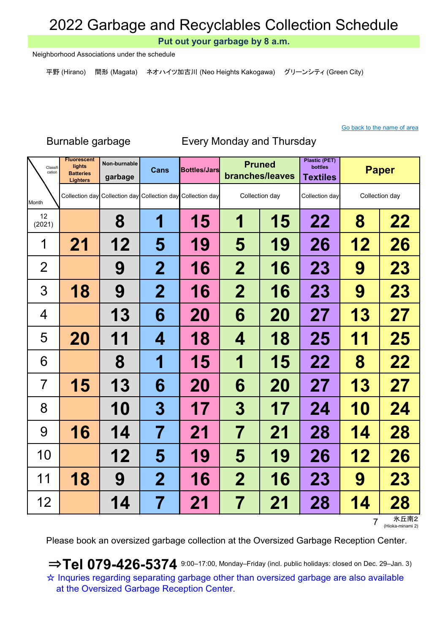Put out your garbage by 8 a.m.

Neighborhood Associations under the schedule

平野 (Hirano) 間形 (Magata) ネオハイツ加古川 (Neo Heights Kakogawa) グリーンシティ (Green City)

### Go back to the name of area

### Burnable garbage

### Every Monday and Thursday

| Classifi<br>cation | <b>Fluorescent</b><br>lights<br><b>Batteries</b><br><b>Lighters</b> | Non-burnable<br>garbage | <b>Cans</b>             | <b>Bottles/Jars</b>                                         |                         | <b>Pruned</b><br>branches/leaves | <b>Plastic (PET)</b><br>bottles<br><b>Textiles</b> |           | <b>Paper</b>   |
|--------------------|---------------------------------------------------------------------|-------------------------|-------------------------|-------------------------------------------------------------|-------------------------|----------------------------------|----------------------------------------------------|-----------|----------------|
| Month              |                                                                     |                         |                         | Collection day Collection day Collection day Collection day |                         | Collection day                   | Collection day                                     |           | Collection day |
| 12<br>(2021)       |                                                                     | 8                       | 1                       | 15                                                          | 1                       | 15                               | 22                                                 | 8         | 22             |
| 1                  | 21                                                                  | 12                      | 5                       | 19                                                          | 5                       | 19                               | 26                                                 | 12        | 26             |
| $\overline{2}$     |                                                                     | 9                       | $\mathbf 2$             | 16                                                          | $\mathbf 2$             | 16                               | 23                                                 | 9         | 23             |
| 3                  | 18                                                                  | 9                       | $\mathbf 2$             | 16                                                          | $\mathbf 2$             | 16                               | 23                                                 | 9         | 23             |
| 4                  |                                                                     | 13                      | 6                       | <b>20</b>                                                   | 6                       | <b>20</b>                        | 27                                                 | 13        | 27             |
| 5                  | 20                                                                  | 11                      | 4                       | 18                                                          | 4                       | 18                               | 25                                                 | 11        | 25             |
| 6                  |                                                                     | 8                       | 1                       | 15                                                          | 1                       | <b>15</b>                        | 22                                                 | 8         | 22             |
| $\overline{7}$     | 15                                                                  | 13                      | 6                       | 20                                                          | 6                       | <b>20</b>                        | 27                                                 | 13        | 27             |
| 8                  |                                                                     | <b>10</b>               | $\boldsymbol{3}$        | 17                                                          | 3                       | 17                               | 24                                                 | <b>10</b> | 24             |
| 9                  | 16                                                                  | 14                      | 7                       | 21                                                          | 7                       | 21                               | 28                                                 | 14        | 28             |
| 10                 |                                                                     | 12                      | 5                       | 19                                                          | 5                       | 19                               | 26                                                 | 12        | 26             |
| 11                 | 18                                                                  | 9                       | $\overline{\mathbf{2}}$ | 16                                                          | $\overline{\mathbf{2}}$ | <b>16</b>                        | <b>23</b>                                          | 9         | 23             |
| 12                 |                                                                     | 14                      | 7                       | 21                                                          | 7                       | 21                               | 28                                                 | 14        | 28             |

7 氷丘南2 (Hioka-minami 2)

Please book an oversized garbage collection at the Oversized Garbage Reception Center.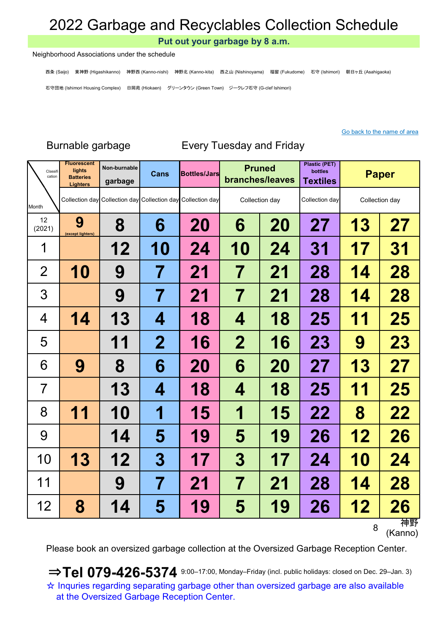Put out your garbage by 8 a.m.

#### Neighborhood Associations under the schedule

西条 (Saijo) 東神野 (Higashikanno) 神野西 (Kanno-nishi) 神野北 (Kanno-kita) 西之山 (Nishinoyama) 福留 (Fukudome) 石守 (Ishimori) 朝日ヶ丘 (Asahigaoka) 石守団地 (Ishimori Housing Complex) 日岡苑 (Hiokaen) グリーンタウン (Green Town) ジークレフ石守 (G-clef Ishimori)

#### Go back to the name of area

| Classifi<br>cation | <b>Fluorescent</b><br>lights<br><b>Batteries</b><br><b>Lighters</b> | Non-burnable<br>garbage | <b>Cans</b>      | <b>Bottles/Jars</b>                                         |                          | <b>Pruned</b><br>branches/leaves | <b>Plastic (PET)</b><br>bottles<br><b>Textiles</b> |            | <b>Paper</b>   |
|--------------------|---------------------------------------------------------------------|-------------------------|------------------|-------------------------------------------------------------|--------------------------|----------------------------------|----------------------------------------------------|------------|----------------|
| Month              |                                                                     |                         |                  | Collection day Collection day Collection day Collection day |                          | Collection day                   | Collection day                                     |            | Collection day |
| 12<br>(2021)       | 9<br>(except lighters)                                              | 8                       | 6                | 20                                                          | 6                        | 20                               | 27                                                 | 13         | 27             |
| 1                  |                                                                     | 12                      | 10               | 24                                                          | 10                       | 24                               | 31                                                 | 17         | 31             |
| $\overline{2}$     | 10                                                                  | 9                       | 7                | 21                                                          | $\overline{\mathcal{I}}$ | 21                               | 28                                                 | 14         | 28             |
| 3                  |                                                                     | 9                       | 7                | 21                                                          | 7                        | 21                               | 28                                                 | 14         | 28             |
| 4                  | 14                                                                  | 13                      | 4                | 18                                                          | 4                        | 18                               | 25                                                 | 11         | 25             |
| 5                  |                                                                     | 11                      | $\overline{2}$   | 16                                                          | $\mathbf 2$              | 16                               | 23                                                 | 9          | 23             |
| 6                  | 9                                                                   | 8                       | 6                | 20                                                          | 6                        | <b>20</b>                        | 27                                                 | 13         | 27             |
| $\overline{7}$     |                                                                     | 13                      | 4                | 18                                                          | 4                        | 18                               | 25                                                 | 11         | 25             |
| 8                  | 11                                                                  | <b>10</b>               | 1                | 15                                                          | 1                        | 15                               | 22                                                 | 8          | 22             |
| 9                  |                                                                     | 14                      | 5                | 19                                                          | 5                        | 19                               | 26                                                 | 12         | 26             |
| 10                 | 13                                                                  | 12                      | $\boldsymbol{3}$ | 17                                                          | 3                        | 17                               | 24                                                 | <b>10</b>  | 24             |
| 11                 |                                                                     | 9                       | 7                | 21                                                          | 7                        | 21                               | 28                                                 | 14         | 28             |
| 12                 | 8                                                                   | 14                      | 5                | 19                                                          | 5                        | 19                               | 26                                                 | <u> 12</u> | 26<br>袖野       |

Burnable garbage Every Tuesday and Friday

神野<br>(Kanno)

Please book an oversized garbage collection at the Oversized Garbage Reception Center.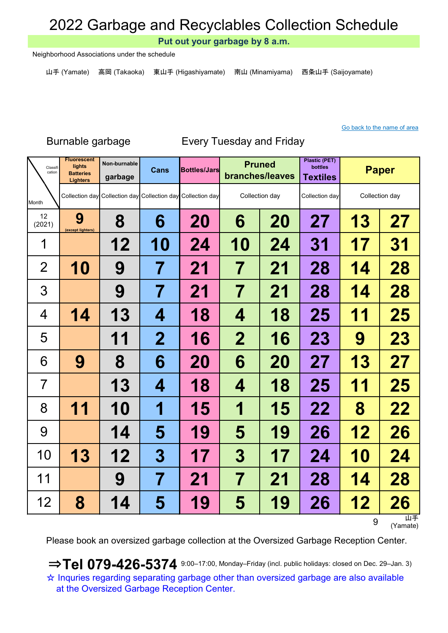Put out your garbage by 8 a.m.

Neighborhood Associations under the schedule

山手 (Yamate) 高岡 (Takaoka) 東山手 (Higashiyamate) 南山 (Minamiyama) 西条山手 (Saijoyamate)

### Go back to the name of area

### Burnable garbage Every Tuesday and Friday

| Classifi<br>cation | <b>Fluorescent</b><br>lights<br><b>Batteries</b><br><b>Lighters</b> | Non-burnable<br>garbage | <b>Cans</b>      | <b>Bottles/Jars</b>                                         |                          | <b>Pruned</b><br>branches/leaves | <b>Plastic (PET)</b><br>bottles<br><b>Textiles</b> |           | <b>Paper</b>   |
|--------------------|---------------------------------------------------------------------|-------------------------|------------------|-------------------------------------------------------------|--------------------------|----------------------------------|----------------------------------------------------|-----------|----------------|
| Month              |                                                                     |                         |                  | Collection day Collection day Collection day Collection day |                          | Collection day                   | Collection day                                     |           | Collection day |
| 12<br>(2021)       | 9<br>(except lighters)                                              | 8                       | 6                | 20                                                          | 6                        | <b>20</b>                        | 27                                                 | 13        | 27             |
| 1                  |                                                                     | 12                      | <b>10</b>        | 24                                                          | 10                       | 24                               | 31                                                 | 17        | 31             |
| $\overline{2}$     | <b>10</b>                                                           | 9                       | 7                | 21                                                          | $\overline{\prime}$      | 21                               | 28                                                 | 14        | 28             |
| 3                  |                                                                     | 9                       | 7                | 21                                                          | 7                        | 21                               | 28                                                 | 14        | <b>28</b>      |
| 4                  | 14                                                                  | 13                      | 4                | 18                                                          | 4                        | 18                               | 25                                                 | 11        | 25             |
| 5                  |                                                                     | 11                      | $\mathbf 2$      | 16                                                          | $\mathbf 2$              | 16                               | <b>23</b>                                          | 9         | 23             |
| 6                  | 9                                                                   | 8                       | 6                | 20                                                          | 6                        | 20                               | 27                                                 | <b>13</b> | 27             |
| $\overline{7}$     |                                                                     | 13                      | 4                | 18                                                          | 4                        | 18                               | 25                                                 | 11        | 25             |
| 8                  | 11                                                                  | 10                      | 1                | 15                                                          | 1                        | 15                               | 22                                                 | 8         | 22             |
| 9                  |                                                                     | 14                      | 5                | 19                                                          | 5                        | 19                               | 26                                                 | 12        | 26             |
| 10                 | 13                                                                  | 12                      | $\boldsymbol{3}$ | 17                                                          | 3                        | 17                               | 24                                                 | <b>10</b> | 24             |
| 11                 |                                                                     | 9                       | 7                | 21                                                          | $\overline{\mathcal{I}}$ | 21                               | 28                                                 | 14        | 28             |
| 12                 | 8                                                                   | 14                      | 5                | 19                                                          | 5                        | 19                               | 26                                                 | 12        | 26             |
|                    |                                                                     |                         |                  |                                                             |                          |                                  |                                                    | 9         | 山手<br>(Yamate) |

Please book an oversized garbage collection at the Oversized Garbage Reception Center.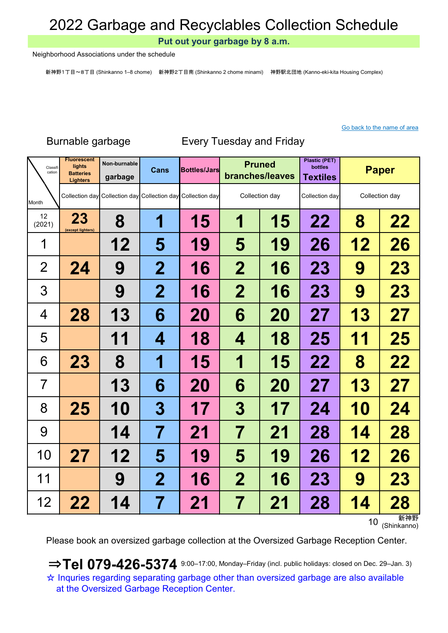Put out your garbage by 8 a.m.

Neighborhood Associations under the schedule

新神野1丁目~8丁目 (Shinkanno 1–8 chome) 新神野2丁目南 (Shinkanno 2 chome minami) 神野駅北団地 (Kanno-eki-kita Housing Complex)

#### Go back to the name of area

### Non-burnable Cans Bottles/Jars Pruned Plastic (PET) bottles garbage Cans Bottles/Jars Prince bottles bottles Paper Month 23 (except lighters) 8 | 1 | 15 | 1 | 15 | 22 | 8 | 22 12 | 5 | 19 | 5 | 19 | 26 | 12 | 26 24 | 9 | 2 | 16 | 2 | 16 | 23 | 9 | 23 9 2 2 16 2 16 23 9 23 28 | 13 | 6 | 20 | 6 | 20 | 27 | 13 | 27 11 | 4 | 18 | 4 | 18 | 25 | 11 | 25 23 | 8 | 1 | 15 | 1 | 15 | 22 | 8 | 22 13 6 20 6 20 27 13 27 25 | 10 | 3 | 17 | 3 | 17 | 24 | 10 | 24 14 | 7 | 21 | 7 | 21 | 28 | 14 | 28 27 | 12 | 5 | 19 | 5 | 19 | 26 | 12 | 26 9 2 2 16 2 16 23 9 23 22 | 14 | 7 | 21 | 7 | 21 | 28 | 14 | 28 12 (2021) Fluorescent lights **Batteries** Lighters 1 2 3 4 5 12 6 7 8 9 10 Classit Classifi **Lights** Non-burnable **Cans Bottles/Jars Pruned** Collection day Collection day Collection day Collection day Collection day Collection day Collection day 11

Burnable garbage Every Tuesday and Friday

10 新神野<br>(Shinkanno)

Please book an oversized garbage collection at the Oversized Garbage Reception Center.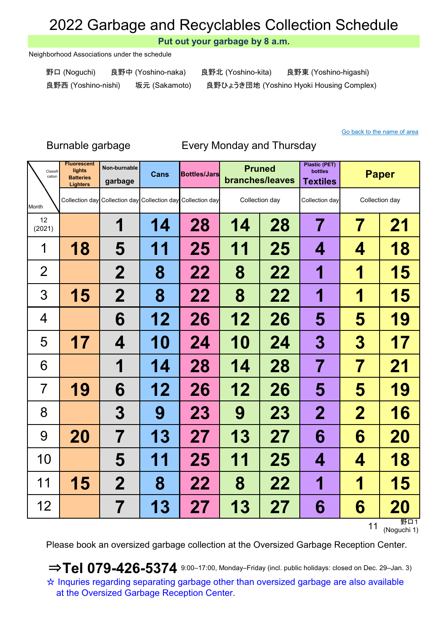Put out your garbage by 8 a.m.

Neighborhood Associations under the schedule

野口 (Noguchi) 良野中 (Yoshino-naka) 良野北 (Yoshino-kita) 良野東 (Yoshino-higashi) 良野西 (Yoshino-nishi) 坂元 (Sakamoto) 良野ひょうき団地 (Yoshino Hyoki Housing Complex)

#### Go back to the name of area

### Burnable garbage Every Monday and Thursday

| Classifi<br>cation | <b>Fluorescent</b><br>lights<br><b>Batteries</b><br><b>Lighters</b> | Non-burnable<br>garbage | <b>Cans</b> | <b>Bottles/Jars</b>                                         |    | <b>Pruned</b><br>branches/leaves | <b>Plastic (PET)</b><br><b>bottles</b><br><b>Textiles</b> |             | <b>Paper</b>   |
|--------------------|---------------------------------------------------------------------|-------------------------|-------------|-------------------------------------------------------------|----|----------------------------------|-----------------------------------------------------------|-------------|----------------|
| Month              |                                                                     |                         |             | Collection day Collection day Collection day Collection day |    | Collection day                   | Collection day                                            |             | Collection day |
| 12<br>(2021)       |                                                                     | 1                       | 14          | 28                                                          | 14 | 28                               | 7                                                         | 7           | 21             |
| 1                  | 18                                                                  | 5                       | 11          | 25                                                          | 11 | 25                               | 4                                                         | 4           | 18             |
| $\overline{2}$     |                                                                     | $\mathbf 2$             | 8           | 22                                                          | 8  | 22                               | 1                                                         | 1           | 15             |
| 3                  | 15                                                                  | $\mathbf 2$             | 8           | 22                                                          | 8  | 22                               | 1                                                         | 1           | 15             |
| 4                  |                                                                     | 6                       | 12          | 26                                                          | 12 | 26                               | 5                                                         | 5           | 19             |
| 5                  | 17                                                                  | 4                       | <b>10</b>   | 24                                                          | 10 | 24                               | 3                                                         | 3           | 17             |
| 6                  |                                                                     | 1                       | 14          | 28                                                          | 14 | 28                               | $\overline{\mathbf{7}}$                                   | 7           | 21             |
| 7                  | 19                                                                  | 6                       | 12          | 26                                                          | 12 | 26                               | 5                                                         | 5           | 19             |
| 8                  |                                                                     | 3                       | 9           | 23                                                          | 9  | <b>23</b>                        | $\mathbf{2}$                                              | $\mathbf 2$ | 16             |
| 9                  | 20                                                                  | 7                       | 13          | 27                                                          | 13 | 27                               | 6                                                         | 6           | 20             |
| 10                 |                                                                     | 5                       | 11          | 25                                                          | 11 | 25                               | 4                                                         | 4           | 18             |
| 11                 | 15                                                                  | $\mathbf 2$             | 8           | 22                                                          | 8  | 22                               | 1                                                         | 1           | 15             |
| 12                 |                                                                     | 7                       | 13          | 27                                                          | 13 | 27                               | 6                                                         | 6           | 20<br>野口1      |

11 野口1 (Noguchi 1)

Please book an oversized garbage collection at the Oversized Garbage Reception Center.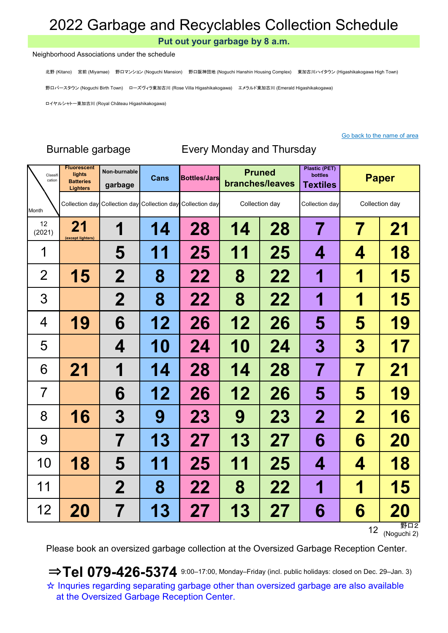Put out your garbage by 8 a.m.

#### Neighborhood Associations under the schedule

北野 (Kitano) 宮前 (Miyamae) 野口マンション (Noguchi Mansion) 野口阪神団地 (Noguchi Hanshin Housing Complex) 東加古川ハイタウン (Higashikakogawa High Town)

野口バースタウン (Noguchi Birth Town) ローズヴィラ東加古川 (Rose Villa Higashikakogawa) エメラルド東加古川 (Emerald Higashikakogawa)

ロイヤルシャトー東加古川 (Royal Château Higashikakogawa)

#### Go back to the name of area

| Classifi<br>cation | <b>Fluorescent</b><br>lights<br><b>Batteries</b><br><b>Lighters</b> | Non-burnable<br>garbage | Cans      | <b>Bottles/Jars</b>                                         |    | <b>Pruned</b><br>branches/leaves | <b>Plastic (PET)</b><br>bottles<br><b>Textiles</b> |                  | <b>Paper</b>   |
|--------------------|---------------------------------------------------------------------|-------------------------|-----------|-------------------------------------------------------------|----|----------------------------------|----------------------------------------------------|------------------|----------------|
| Month              |                                                                     |                         |           | Collection day Collection day Collection day Collection day |    | Collection day                   | Collection day                                     |                  | Collection day |
| 12<br>(2021)       | 21<br>(except lighters)                                             | 1                       | 14        | 28                                                          | 14 | 28                               | 7                                                  | 7                | 21             |
| 1                  |                                                                     | 5                       | 11        | 25                                                          | 11 | 25                               | 4                                                  | 4                | 18             |
| $\overline{2}$     | 15                                                                  | $\mathbf 2$             | 8         | 22                                                          | 8  | 22                               | 1                                                  | 1                | 15             |
| 3                  |                                                                     | $\mathbf 2$             | 8         | 22                                                          | 8  | 22                               | 1                                                  | 1                | 15             |
| 4                  | 19                                                                  | 6                       | 12        | 26                                                          | 12 | 26                               | 5                                                  | 5                | 19             |
| 5                  |                                                                     | 4                       | <b>10</b> | 24                                                          | 10 | 24                               | 3                                                  | $\boldsymbol{3}$ | 17             |
| 6                  | 21                                                                  | 1                       | 14        | 28                                                          | 14 | 28                               | 7                                                  | 7                | 21             |
| $\overline{7}$     |                                                                     | 6                       | 12        | 26                                                          | 12 | 26                               | 5                                                  | 5                | 19             |
| 8                  | 16                                                                  | 3                       | 9         | <b>23</b>                                                   | 9  | <b>23</b>                        | $\mathbf 2$                                        | $\mathbf 2$      | 16             |
| 9                  |                                                                     | 7                       | 13        | 27                                                          | 13 | 27                               | 6                                                  | 6                | 20             |
| 10                 | 18                                                                  | 5                       | 11        | 25                                                          | 11 | 25                               | 4                                                  | 4                | 18             |
| 11                 |                                                                     | $\mathbf 2$             | 8         | 22                                                          | 8  | 22                               | 1                                                  | 1                | 15             |
| 12                 | 20                                                                  | 7                       | 13        | 27                                                          | 13 | 27                               | 6                                                  | 6                | 20<br>⊞ヱ 冖 っ   |

## Burnable garbage Every Monday and Thursday

12<br>(Noguchi 2)

Please book an oversized garbage collection at the Oversized Garbage Reception Center.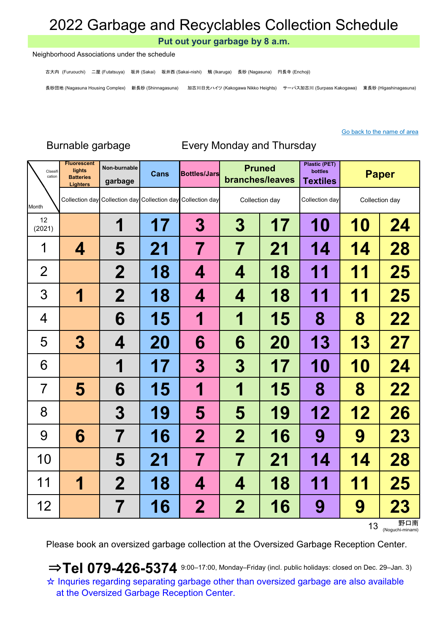Put out your garbage by 8 a.m.

#### Neighborhood Associations under the schedule

古大内 (Furuouchi) 二屋 (Futatsuya) 坂井 (Sakai) 坂井西 (Sakai-nishi) 鵤 (Ikaruga) 長砂 (Nagasuna) 円長寺 (Enchoji)

長砂団地 (Nagasuna Housing Complex) 新長砂 (Shinnagasuna) 加古川日光ハイツ (Kakogawa Nikko Heights) サーパス加古川 (Surpass Kakogawa) 東長砂 (Higashinagasuna)

#### Go back to the name of area

| Classifi<br>cation | <b>Fluorescent</b><br>lights<br><b>Batteries</b><br><b>Lighters</b> | Non-burnable<br>garbage | Cans | <b>Bottles/Jars</b>                                         |             | <b>Pruned</b><br>branches/leaves | <b>Plastic (PET)</b><br>bottles<br><b>Textiles</b> |    | <b>Paper</b>   |
|--------------------|---------------------------------------------------------------------|-------------------------|------|-------------------------------------------------------------|-------------|----------------------------------|----------------------------------------------------|----|----------------|
| Month              |                                                                     |                         |      | Collection day Collection day Collection day Collection day |             | Collection day                   | Collection day                                     |    | Collection day |
| 12<br>(2021)       |                                                                     | 1                       | 17   | $\bf{3}$                                                    | 3           | 17                               | <b>10</b>                                          | 10 | 24             |
| 1                  | 4                                                                   | 5                       | 21   | 7                                                           | 7           | 21                               | 14                                                 | 14 | 28             |
| $\overline{2}$     |                                                                     | $\mathbf 2$             | 18   | 4                                                           | 4           | 18                               | 11                                                 | 11 | 25             |
| 3                  | 1                                                                   | $\mathbf 2$             | 18   | 4                                                           | 4           | 18                               | 11                                                 | 11 | 25             |
| 4                  |                                                                     | 6                       | 15   | 1                                                           | 1           | 15                               | 8                                                  | 8  | 22             |
| 5                  | $\bf{3}$                                                            | 4                       | 20   | 6                                                           | 6           | <b>20</b>                        | 13                                                 | 13 | 27             |
| 6                  |                                                                     | 1                       | 17   | 3                                                           | 3           | 17                               | <b>10</b>                                          | 10 | 24             |
| 7                  | 5                                                                   | 6                       | 15   | 1                                                           | 1           | 15                               | 8                                                  | 8  | 22             |
| 8                  |                                                                     | 3                       | 19   | 5                                                           | 5           | 19                               | 12                                                 | 12 | 26             |
| 9                  | 6                                                                   | 7                       | 16   | $\mathbf 2$                                                 | $\mathbf 2$ | 16                               | 9                                                  | 9  | 23             |
| 10                 |                                                                     | 5                       | 21   | 7                                                           | 7           | 21                               | 14                                                 | 14 | 28             |
| 11                 | 1                                                                   | $\mathbf 2$             | 18   | 4                                                           | 4           | 18                               | 11                                                 | 11 | 25             |
| 12                 |                                                                     | 7                       | 16   | 2                                                           | $\mathbf 2$ | 16                               | 9                                                  | 9  | <b>23</b>      |

## Burnable garbage Every Monday and Thursday

13 September 13 (Noguchi-minami

Please book an oversized garbage collection at the Oversized Garbage Reception Center.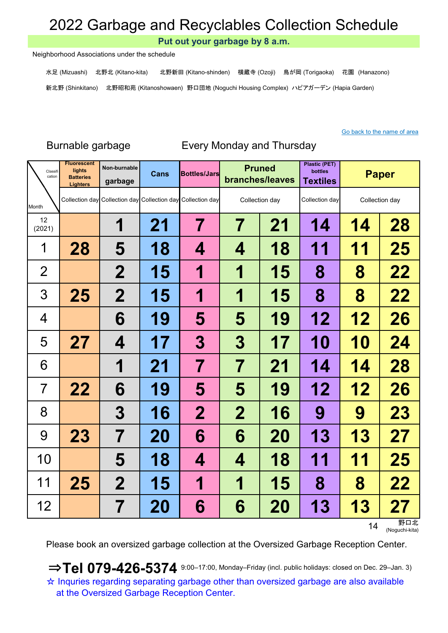Put out your garbage by 8 a.m.

Neighborhood Associations under the schedule

水足 (Mizuashi) 北野北 (Kitano-kita) 北野新田 (Kitano-shinden) 横蔵寺 (Ozoji) 鳥が岡 (Torigaoka) 花園 (Hanazono) 新北野 (Shinkitano) 北野昭和苑 (Kitanoshowaen) 野口団地 (Noguchi Housing Complex) ハピアガーデン (Hapia Garden)

### Go back to the name of area

### Burnable garbage Every Monday and Thursday

| Classifi<br>cation | <b>Fluorescent</b><br>lights<br><b>Batteries</b><br><b>Lighters</b> | Non-burnable<br>garbage | <b>Cans</b> | <b>Bottles/Jars</b>                                         |                | <b>Pruned</b><br>branches/leaves | <b>Plastic (PET)</b><br>bottles<br><b>Textiles</b> |           | <b>Paper</b>   |
|--------------------|---------------------------------------------------------------------|-------------------------|-------------|-------------------------------------------------------------|----------------|----------------------------------|----------------------------------------------------|-----------|----------------|
| Month              |                                                                     |                         |             | Collection day Collection day Collection day Collection day |                | Collection day                   | Collection day                                     |           | Collection day |
| 12<br>(2021)       |                                                                     | 1                       | 21          | 7                                                           | $\overline{7}$ | 21                               | 14                                                 | 14        | 28             |
| 1                  | 28                                                                  | 5                       | 18          | 4                                                           | 4              | 18                               | 11                                                 | 11        | 25             |
| $\overline{2}$     |                                                                     | $\mathbf 2$             | 15          | 1                                                           | 1              | 15                               | 8                                                  | 8         | 22             |
| 3                  | 25                                                                  | $\mathbf{2}$            | 15          | 1                                                           | 1              | 15                               | 8                                                  | 8         | 22             |
| 4                  |                                                                     | 6                       | 19          | 5                                                           | 5              | 19                               | 12                                                 | 12        | 26             |
| 5                  | 27                                                                  | 4                       | 17          | 3                                                           | 3              | 17                               | <b>10</b>                                          | 10        | 24             |
| 6                  |                                                                     | 1                       | 21          | 7                                                           | 7              | 21                               | 14                                                 | 14        | 28             |
| 7                  | 22                                                                  | 6                       | 19          | 5                                                           | 5              | 19                               | 12                                                 | 12        | 26             |
| 8                  |                                                                     | 3                       | 16          | $\mathbf 2$                                                 | $\mathbf 2$    | 16                               | 9                                                  | 9         | 23             |
| 9                  | <b>23</b>                                                           | 7                       | <b>20</b>   | 6                                                           | 6              | <b>20</b>                        | 13                                                 | <b>13</b> | 27             |
| 10                 |                                                                     | 5                       | 18          | 4                                                           | 4              | 18                               | 11                                                 | 11        | 25             |
| 11                 | 25                                                                  | $\mathbf 2$             | 15          | 1                                                           | 1              | 15                               | 8                                                  | 8         | 22             |
| 12                 |                                                                     | 7                       | 20          | 6                                                           | 6              | <b>20</b>                        | 13                                                 | 13        | 27<br>ᄧᇚᆎ      |

14 野口北 (Noguchi-kita)

Please book an oversized garbage collection at the Oversized Garbage Reception Center.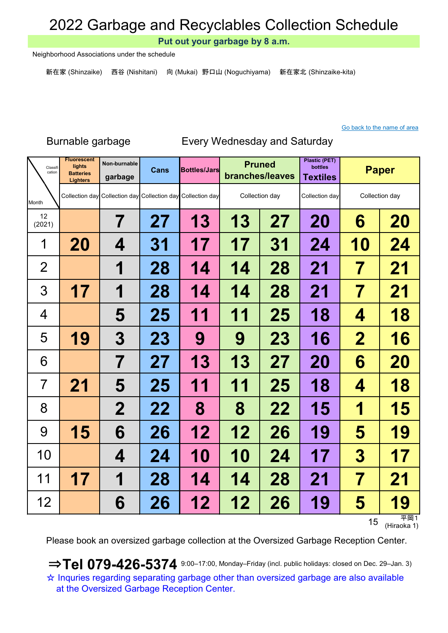Put out your garbage by 8 a.m.

Neighborhood Associations under the schedule

新在家 (Shinzaike) 西谷 (Nishitani) 向 (Mukai) 野口山 (Noguchiyama) 新在家北 (Shinzaike-kita)

#### Go back to the name of area

### Burnable garbage Every Wednesday and Saturday

| Classifi<br>cation | <b>Fluorescent</b><br>lights<br><b>Batteries</b><br><b>Lighters</b> | Non-burnable<br>garbage | Cans      | <b>Bottles/Jars</b>                                         |        | <b>Pruned</b><br>branches/leaves | <b>Plastic (PET)</b><br><b>bottles</b><br><b>Textiles</b> |                | <b>Paper</b>   |
|--------------------|---------------------------------------------------------------------|-------------------------|-----------|-------------------------------------------------------------|--------|----------------------------------|-----------------------------------------------------------|----------------|----------------|
| Month              |                                                                     |                         |           | Collection day Collection day Collection day Collection day |        | Collection day                   | Collection day                                            |                | Collection day |
| 12<br>(2021)       |                                                                     | 7                       | 27        | 13                                                          | 13     | 27                               | 20                                                        | 6              | 20             |
| 1                  | 20                                                                  | 4                       | 31        | 17                                                          | 17     | 31                               | 24                                                        | <b>10</b>      | 24             |
| $\overline{2}$     |                                                                     | 1                       | 28        | 14                                                          | 14     | 28                               | 21                                                        | 7              | 21             |
| 3                  | 17                                                                  | 1                       | 28        | 14                                                          | 14     | 28                               | 21                                                        | 7              | 21             |
| 4                  |                                                                     | 5                       | 25        | 11                                                          | 1<br>1 | 25                               | 18                                                        | 4              | 18             |
| 5                  | 19                                                                  | 3                       | <b>23</b> | 9                                                           | 9      | 23                               | 16                                                        | $\overline{2}$ | 16             |
| 6                  |                                                                     | $\overline{\mathbf{7}}$ | 27        | 13                                                          | 13     | 27                               | <b>20</b>                                                 | 6              | 20             |
| $\overline{7}$     | 21                                                                  | 5                       | 25        | 11                                                          | 11     | 25                               | 18                                                        | 4              | 18             |
| 8                  |                                                                     | $\mathbf 2$             | 22        | 8                                                           | 8      | 22                               | 15                                                        | 1              | 15             |
| 9                  | 15                                                                  | 6                       | 26        | 12                                                          | 12     | 26                               | 19                                                        | 5              | 19             |
| 10                 |                                                                     | 4                       | 24        | <b>10</b>                                                   | 10     | 24                               | 17                                                        | 3              | 17             |
| 11                 | 17                                                                  | 1                       | 28        | 14                                                          | 14     | 28                               | 21                                                        | 7              | 21             |
| 12                 |                                                                     | 6                       | 26        | 12                                                          | 12     | 26                               | 19                                                        | 5              | 19<br>平岡1      |

15  $\frac{\overline{4} + \overline{6}}{(\text{Hiraoka 1})}$ 

Please book an oversized garbage collection at the Oversized Garbage Reception Center.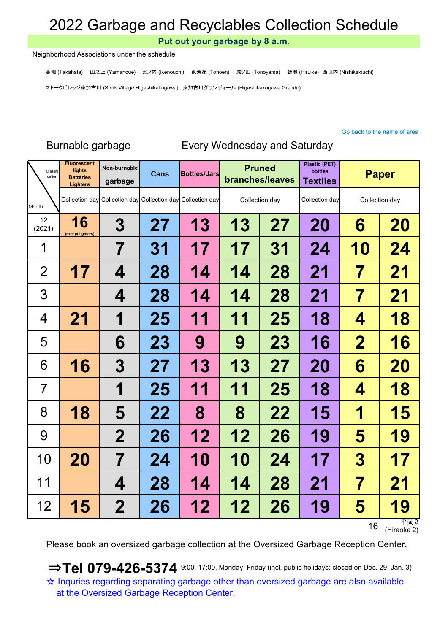Put out your garbage by 8 a.m.

Neighborhood Associations under the schedule

高畑 (Takahata) 山之上 (Yamanoue) 池ノ内 (Ikenouchi) 東芳苑 (Tohoen) 殿ノ山 (Tonoyama) 蛭池 (Hiruike) 西垣内 (Nishikakiuchi)

ストークビレッジ東加古川 (Stork Village Higashikakogawa) 東加古川グランディール (Higashikakogawa Grandir)

#### Go back to the name of area

### Non-burnable Cans Bottles/Jars Pruned Plastic (PET) bottles garbage Cans Bottles/Jars Prince bottles bottles Paper Month 16 (except lighters) 3 27 | 13 | 13 | 27 | 20 | 6 | 20 7 | 31 | 17 | 17 | 31 | 24 <mark>| 10 | 24</mark> 17 | 4 | 28 | 14 | 14 | 28 | 21 | 7 | 21 4 | 28 | 14 | 14 | 28 | 21 | 7 | 21 21 | 1 | 25 | 11 | 11 | 25 | 18 |  $\,$  4 | 18 6 23 9 9 9 23 16 2 16 16 3 27 13 13 27 20 6 20 1 | 25 | 11 | 11 | 25 | 18 |  $\,$  4 | 18 18 | 5 | 22 | 8 | 8 | 22 | 15 | 1 | 15 2 | 26 | 12 | 12 | 26 | 19 | 5 | 19 20 | 7 | 24 | 10 | 10 | 24 | 17 | 3 | 17 4 | 28 | 14 | 14 | 28 | 21 | 7 | 21 15 | 2 | 26 | 12 | 12 | 26 | 19 | 5 | 19 12 (2021) **Orgera** lights **Batteries Lighters** 1 2 3 4 5 12 6 7 8 9 10 Classit<br>cation Classifi **Lights** Non-burnable **Cans Bottles/Jars Pruned** Collection day Collection day Collection day Collection day Collection day Collection day Collection day 11

Burnable garbage Every Wednesday and Saturday

16  $\overline{+}$  田2<br>(Hiraoka 2)

Please book an oversized garbage collection at the Oversized Garbage Reception Center.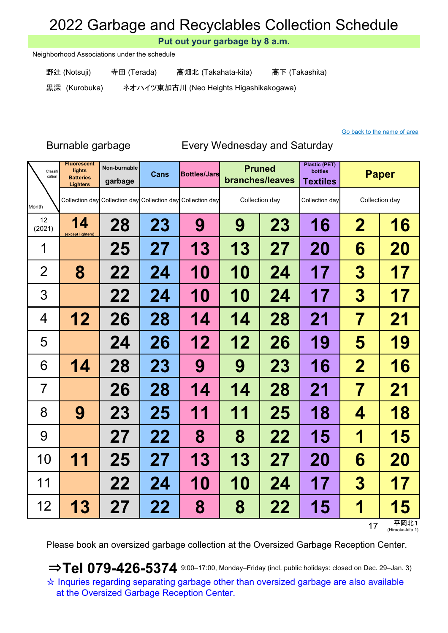Put out your garbage by 8 a.m.

Neighborhood Associations under the schedule

野辻 (Notsuji) 寺田 (Terada) 高畑北 (Takahata-kita) 高下 (Takashita)

黒深 (Kurobuka) ネオハイツ東加古川 (Neo Heights Higashikakogawa)

### Go back to the name of area

### Burnable garbage Every Wednesday and Saturday

| Classifi<br>cation | <b>Fluorescent</b><br>lights<br><b>Batteries</b><br><b>Lighters</b> | Non-burnable<br>garbage                                     | <b>Cans</b> | <b>Bottles/Jars</b> |           | <b>Pruned</b><br>branches/leaves |           |                         | <b>Paper</b>     |
|--------------------|---------------------------------------------------------------------|-------------------------------------------------------------|-------------|---------------------|-----------|----------------------------------|-----------|-------------------------|------------------|
| Month              |                                                                     | Collection day Collection day Collection day Collection day |             |                     |           | Collection day                   |           |                         | Collection day   |
| 12<br>(2021)       | 14<br>(except lighters)                                             | 28                                                          | 23          | 9                   | 9         | 23                               | 16        | $\overline{\mathbf{2}}$ | 16               |
| 1                  |                                                                     | 25                                                          | 27          | 13                  | 13        | 27                               | <b>20</b> | 6                       | <b>20</b>        |
| $\overline{2}$     | 8                                                                   | 22                                                          | 24          | 10                  | 10        | 24                               | 17        | 3                       | 17               |
| 3                  |                                                                     | 22                                                          | 24          | <b>10</b>           | 10        | 24                               | 17        | $\boldsymbol{3}$        | 17               |
| 4                  | 12                                                                  | 26                                                          | 28          | 14                  | 14        | 28                               | 21        | 7                       | 21               |
| 5                  |                                                                     | 24                                                          | 26          | 12                  | 12        | 26                               | 19        | 5                       | 19               |
| 6                  | 14                                                                  | 28                                                          | 23          | 9                   | 9         | <b>23</b>                        | 16        | $\mathbf 2$             | 16               |
| $\overline{7}$     |                                                                     | 26                                                          | 28          | 14                  | 14        | 28                               | 21        | 7                       | 21               |
| 8                  | 9                                                                   | <b>23</b>                                                   | 25          | 11                  | 11        | 25                               | 18        | 4                       | 18               |
| 9                  |                                                                     | 27                                                          | 22          | 8                   | 8         | 22                               | 15        | 1                       | 15               |
| 10                 | 11                                                                  | 25                                                          | 27          | 13                  | 13        | 27                               | <b>20</b> | 6                       | 20               |
| 11                 |                                                                     | 22                                                          | 24          | <b>10</b>           | <b>10</b> | 24                               | 17        | $\boldsymbol{3}$        | 17               |
| 12                 | <b>13</b>                                                           | 27                                                          | 22          | 8                   | 8         | 22                               | 15        | 1                       | <b>5</b><br>平岡北1 |

17 平岡北1

Please book an oversized garbage collection at the Oversized Garbage Reception Center.

☆ Inquries regarding separating garbage other than oversized garbage are also available at the Oversized Garbage Reception Center.  $\Rightarrow$  Tel 079-426-5374 9:00-17:00, Monday–Friday (incl. public holidays: closed on Dec. 29–Jan. 3)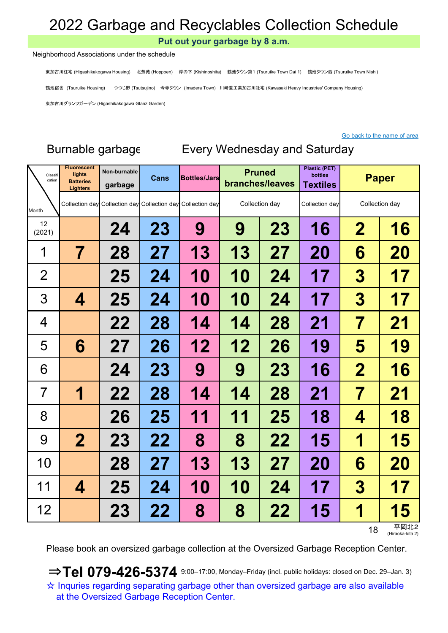Put out your garbage by 8 a.m.

#### Neighborhood Associations under the schedule

東加古川住宅 (Higashikakogawa Housing) 北芳苑 (Hoppoen) 岸の下 (Kishinoshita) 鶴池タウン第1 (Tsuruike Town Dai 1) 鶴池タウン西 (Tsuruike Town Nishi)

鶴池宿舎 (Tsuruike Housing) つつじ野 (Tsutsujino) 今寺タウン (Imadera Town) 川崎重工業加古川社宅 (Kawasaki Heavy Industries' Company Housing)

東加古川グランツガーデン (Higashikakogawa Glanz Garden)

#### Go back to the name of area

### Non-burnable Cans Bottles/Jars Pruned Plastic (PET) bottles garbage | Cano | Component | branches/leaves | Textiles Month 24 | 23 | 9 | 9 | 23 | 16 | 2 | 16 7 | 28 | 27 | 13 | 13 | 27 | 20 |  $\,$  6 | 20 25 | 24 | 10 | 10 | 24 | 17 |  $\,$  3 | 17 4 | 25 | 24 | 10 | 10 | 24 | 17 | 3 | 17 22 | 28 | 14 | 14 | 28 | 21 | 7 | 21 6 27 26 12 12 26 19 5 19 24 | 23 | 9 | 9 | 23 | 16 | 2 | 16 1 22 28 14 14 28 21 7 21 26 | 25 | 11 | 11 | 25 | 18 |  $\,$  4  $\,$  | 18 2 23 22 8 8 22 15 1 15 28 | 27 | 13 | 13 | 27 | 20 |  $\,$  6 | 20 4 | 25 | 24 | 10 | 10 | 24 | 17 | 3 | 17 23 | 22 | 8 | 8 | 22 | 15 | 1 | 15 12 (2021) luorescen lights **Batteries Lighters** Cans Bottles/Jars Pruned Collection day Collection day Paper Collection day Classi cation 10 1  $\overline{\mathcal{L}}$ 3 4 5 Collection day Collection day Collection day Collection day 11 12 6 7 8 9

18 平岡北2 (Hiraoka-kita 2)

Please book an oversized garbage collection at the Oversized Garbage Reception Center.

☆ Inquries regarding separating garbage other than oversized garbage are also available at the Oversized Garbage Reception Center.  $\Rightarrow$  Tel 079-426-5374 9:00-17:00, Monday–Friday (incl. public holidays: closed on Dec. 29-Jan. 3)

## Burnable garbage Every Wednesday and Saturday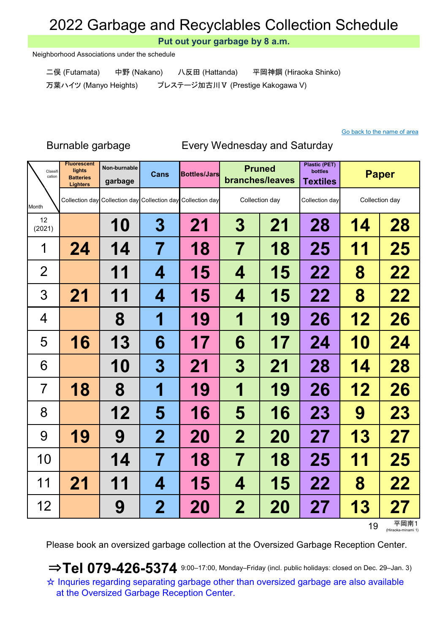Put out your garbage by 8 a.m.

Neighborhood Associations under the schedule

二俣 (Futamata) 中野 (Nakano) 八反田 (Hattanda) 平岡神鋼 (Hiraoka Shinko) 万葉ハイツ (Manyo Heights) プレステージ加古川Ⅴ (Prestige Kakogawa V)

### Go back to the name of area

### Burnable garbage Every Wednesday and Saturday

| Classifi<br>cation | <b>Fluorescent</b><br>lights<br><b>Batteries</b><br><b>Lighters</b> | Non-burnable<br>garbage | Cans             | <b>Bottles/Jars</b>                                         | <b>Pruned</b><br>branches/leaves |                                  | <b>Plastic (PET)</b><br>bottles<br><b>Textiles</b> | <b>Paper</b>   |           |
|--------------------|---------------------------------------------------------------------|-------------------------|------------------|-------------------------------------------------------------|----------------------------------|----------------------------------|----------------------------------------------------|----------------|-----------|
| Month              |                                                                     |                         |                  | Collection day Collection day Collection day Collection day |                                  | Collection day<br>Collection day |                                                    | Collection day |           |
| 12<br>(2021)       |                                                                     | 10                      | $\boldsymbol{3}$ | 21                                                          | 3                                | 21                               | 28                                                 | 14             | 28        |
| 1                  | 24                                                                  | 14                      | 7                | 18                                                          | 7                                | 18                               | 25                                                 | 11             | 25        |
| $\overline{2}$     |                                                                     | 11                      | 4                | 15                                                          | 4                                | 15                               | 22                                                 | 8              | 22        |
| 3                  | 21                                                                  | 11                      | 4                | 15                                                          | 4                                | 15                               | 22                                                 | 8              | 22        |
| 4                  |                                                                     | 8                       | 1                | 19                                                          | 1                                | 19                               | 26                                                 | 12             | 26        |
| 5                  | 16                                                                  | 13                      | 6                | 17                                                          | 6                                | 17                               | 24                                                 | 10             | 24        |
| 6                  |                                                                     | <b>10</b>               | 3                | 21                                                          | 3                                | 21                               | 28                                                 | 14             | 28        |
| $\overline{7}$     | 18                                                                  | 8                       | 1                | 19                                                          | 1                                | 19                               | 26                                                 | 12             | 26        |
| 8                  |                                                                     | 12                      | 5                | 16                                                          | 5                                | 16                               | 23                                                 | 9              | 23        |
| 9                  | 19                                                                  | 9                       | $\mathbf 2$      | 20                                                          | $\mathbf 2$                      | 20                               | 27                                                 | 13             | 27        |
| 10                 |                                                                     | 14                      | 7                | 18                                                          | 7                                | 18                               | 25                                                 | 11             | 25        |
| 11                 | 21                                                                  | 11                      | 4                | 15                                                          | 4                                | 15                               | 22                                                 | 8              | 22        |
| 12                 |                                                                     | 9                       | $\bf{2}$         | 20                                                          | $\mathbf 2$                      | <b>20</b>                        | 27                                                 | 13             | 27<br>ᅲᇋᆂ |

19 (Hiraoka-minami 1)

Please book an oversized garbage collection at the Oversized Garbage Reception Center.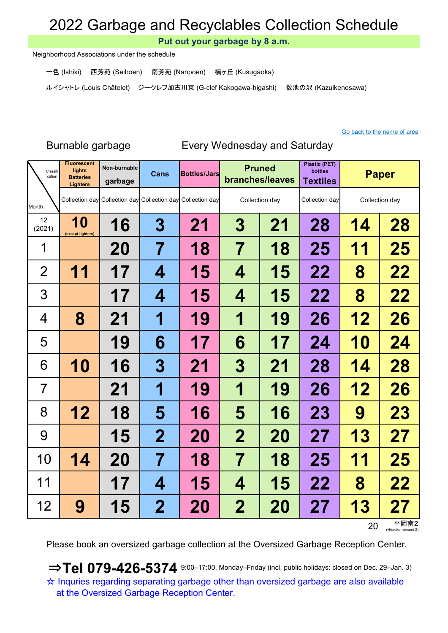Put out your garbage by 8 a.m.

Neighborhood Associations under the schedule

一色 (Ishiki) 西芳苑 (Seihoen) 南芳苑 (Nanpoen) 楠ヶ丘 (Kusugaoka)

ルイシャトレ (Louis Châtelet) ジークレフ加古川東 (G-clef Kakogawa-higashi) 数池の沢 (Kazuikenosawa)

### Go back to the name of area

### Burnable garbage Every Wednesday and Saturday

| Classifi<br>cation | <b>Fluorescent</b><br>lights<br><b>Batteries</b><br><b>Lighters</b> | Non-burnable<br>garbage | <b>Cans</b>      | <b>Bottles/Jars</b>                                         |                         | <b>Pruned</b><br>branches/leaves |    | <b>Paper</b>   |           |
|--------------------|---------------------------------------------------------------------|-------------------------|------------------|-------------------------------------------------------------|-------------------------|----------------------------------|----|----------------|-----------|
| Month              |                                                                     |                         |                  | Collection day Collection day Collection day Collection day |                         | Collection day                   |    | Collection day |           |
| 12<br>(2021)       | <b>10</b><br>(except lighters)                                      | 16                      | $\boldsymbol{3}$ | 21                                                          | 3                       | 21                               | 28 | 14             | 28        |
| 1                  |                                                                     | <b>20</b>               | 7                | 18                                                          | $\overline{\mathbf{7}}$ | 18                               | 25 | 11             | 25        |
| $\overline{2}$     | 11                                                                  | 17                      | 4                | 15                                                          | 4                       | 15                               | 22 | 8              | 22        |
| 3                  |                                                                     | 17                      | 4                | 15                                                          | 4                       | 15                               | 22 | 8              | 22        |
| $\overline{4}$     | 8                                                                   | 21                      | 1                | 19                                                          | 1                       | 19                               | 26 | 12             | 26        |
| 5                  |                                                                     | 19                      | 6                | 17                                                          | 6                       | 17                               | 24 | <b>10</b>      | 24        |
| 6                  | 10                                                                  | 16                      | 3                | 21                                                          | 3                       | 21                               | 28 | 14             | 28        |
| 7                  |                                                                     | 21                      | 1                | 19                                                          | 1                       | 19                               | 26 | 12             | 26        |
| 8                  | 12                                                                  | 18                      | 5                | 16                                                          | 5                       | 16                               | 23 | 9              | 23        |
| 9                  |                                                                     | 15                      | $\overline{2}$   | 20                                                          | $\mathbf 2$             | <b>20</b>                        | 27 | 13             | 27        |
| 10                 | 14                                                                  | 20                      | 7                | 18                                                          | 7                       | 18                               | 25 | 11             | 25        |
| 11                 |                                                                     | 17                      | 4                | 15                                                          | 4                       | 15                               | 22 | 8              | 22        |
| 12                 | 9                                                                   | <b>15</b>               | $\mathbf 2$      | 20                                                          | $\mathbf 2$             | <b>20</b>                        | 27 | 13             | 27<br>ᅲᇛᆃ |

 $20$  平岡南2

Please book an oversized garbage collection at the Oversized Garbage Reception Center.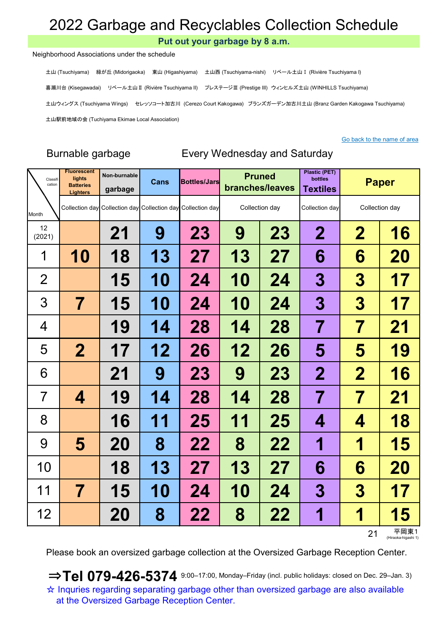Put out your garbage by 8 a.m.

#### Neighborhood Associations under the schedule

土山 (Tsuchiyama) 緑が丘 (Midorigaoka) 東山 (Higashiyama) 土山西 (Tsuchiyama-nishi) リベール土山Ⅰ (Rivière Tsuchiyama I) 喜瀬川台 (Kisegawadai) リベール土山Ⅱ (Rivière Tsuchiyama II) プレステージⅢ (Prestige III) ウィンヒルズ土山 (WINHILLS Tsuchiyama) 土山ウィングス (Tsuchiyama Wings) セレッソコート加古川 (Cerezo Court Kakogawa) ブランズガーデン加古川土山 (Branz Garden Kakogawa Tsuchiyama) 土山駅前地域の会 (Tuchiyama Ekimae Local Association)

#### Go back to the name of area

### Burnable garbage Every Wednesday and Saturday

| Classifi<br>cation | <b>Fluorescent</b><br>lights<br><b>Batteries</b><br><b>Lighters</b> | Non-burnable<br>garbage | Cans      | <b>Bottles/Jars</b>                                         | <b>Pruned</b><br>branches/leaves |    | <b>Plastic (PET)</b><br>bottles<br><b>Textiles</b> | <b>Paper</b>            |                             |
|--------------------|---------------------------------------------------------------------|-------------------------|-----------|-------------------------------------------------------------|----------------------------------|----|----------------------------------------------------|-------------------------|-----------------------------|
| Month              |                                                                     |                         |           | Collection day Collection day Collection day Collection day | Collection day                   |    | Collection day                                     | Collection day          |                             |
| 12<br>(2021)       |                                                                     | 21                      | 9         | 23                                                          | 9<br>23                          |    | $\mathbf 2$                                        | $\mathbf 2$             | 16                          |
| 1                  | 10                                                                  | 18                      | 13        | 27                                                          | 13                               | 27 | 6                                                  | 6                       | 20                          |
| $\overline{2}$     |                                                                     | 15                      | <b>10</b> | 24                                                          | <b>10</b>                        | 24 | 3                                                  | 3                       | 17                          |
| 3                  | 7                                                                   | 15                      | <b>10</b> | 24                                                          | <b>10</b>                        | 24 | 3                                                  | 3                       | 17                          |
| 4                  |                                                                     | 19                      | 14        | 28                                                          | 14                               | 28 | 7                                                  | 7                       | 21                          |
| 5                  | $\overline{\mathbf{2}}$                                             | 17                      | 12        | 26                                                          | 12                               | 26 | 5                                                  | 5                       | 19                          |
| 6                  |                                                                     | 21                      | 9         | <b>23</b>                                                   | 9                                | 23 | $\mathbf 2$                                        | $\mathbf 2$             | 16                          |
| 7                  | 4                                                                   | 19                      | 14        | 28                                                          | 14                               | 28 | $\overline{\mathbf{7}}$                            | $\overline{\mathbf{7}}$ | 21                          |
| 8                  |                                                                     | <b>16</b>               | 11        | 25                                                          | 11                               | 25 | 4                                                  | 4                       | 18                          |
| 9                  | 5                                                                   | <b>20</b>               | 8         | 22                                                          | 8                                | 22 | 1                                                  | 1                       | <b>15</b>                   |
| 10                 |                                                                     | 18                      | 13        | 27                                                          | 13                               | 27 | 6                                                  | 6                       | 20                          |
| 11                 | 7                                                                   | 15                      | <b>10</b> | 24                                                          | 10                               | 24 | 3                                                  | $\bf{3}$                | 17                          |
| 12                 |                                                                     | <b>20</b>               | 8         | 22                                                          | 8                                | 22 | 1                                                  | 1                       | <b>15</b>                   |
|                    |                                                                     |                         |           |                                                             |                                  |    |                                                    | 21                      | 平岡東1<br>(Hiraoka-higashi 1) |

Please book an oversized garbage collection at the Oversized Garbage Reception Center.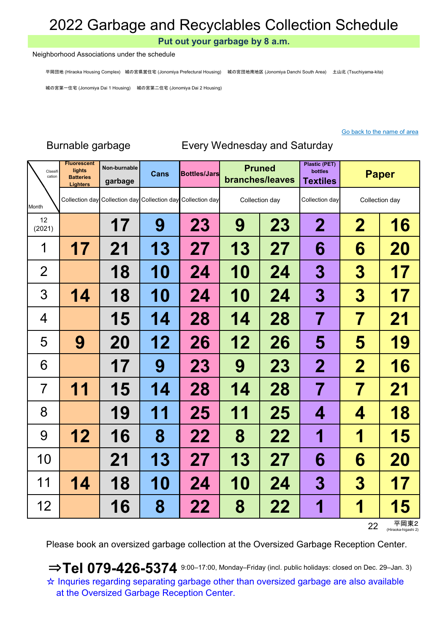Put out your garbage by 8 a.m.

#### Neighborhood Associations under the schedule

平岡団地 (Hiraoka Housing Complex) 城の宮県営住宅 (Jonomiya Prefectural Housing) 城の宮団地南地区 (Jonomiya Danchi South Area) 土山北 (Tsuchiyama-kita)

城の宮第一住宅 (Jonomiya Dai 1 Housing) 城の宮第二住宅 (Jonomiya Dai 2 Housing)

### Go back to the name of area

| Classifi<br>cation | <b>Fluorescent</b><br>lights<br><b>Batteries</b><br><b>Lighters</b> | Non-burnable<br>garbage | <b>Cans</b> | <b>Bottles/Jars</b>                                         | <b>Pruned</b><br>branches/leaves |                | <b>Plastic (PET)</b><br><b>bottles</b><br><b>Textiles</b> | <b>Paper</b>     |    |
|--------------------|---------------------------------------------------------------------|-------------------------|-------------|-------------------------------------------------------------|----------------------------------|----------------|-----------------------------------------------------------|------------------|----|
| Month              |                                                                     |                         |             | Collection day Collection day Collection day Collection day |                                  | Collection day | Collection day                                            | Collection day   |    |
| 12<br>(2021)       |                                                                     | 17                      | 9           | 23                                                          | 9                                | 23             | $\overline{2}$                                            | $\overline{2}$   | 16 |
| 1                  | 17                                                                  | 21                      | 13          | 27                                                          | 13                               | 27             | 6                                                         | 6                | 20 |
| $\overline{2}$     |                                                                     | 18                      | <b>10</b>   | 24                                                          | 10                               | 24             | 3                                                         | 3                | 17 |
| 3                  | 14                                                                  | 18                      | 10          | 24                                                          | 10                               | 24             | 3                                                         | $\boldsymbol{3}$ | 17 |
| 4                  |                                                                     | 15                      | 14          | 28                                                          | 14                               | 28             | 7                                                         | 7                | 21 |
| 5                  | 9                                                                   | 20                      | 12          | 26                                                          | 12                               | 26             | 5                                                         | 5                | 19 |
| 6                  |                                                                     | 17                      | 9           | 23                                                          | 9                                | <b>23</b>      | $\mathbf 2$                                               | $\mathbf 2$      | 16 |
| 7                  | 11                                                                  | 15                      | 14          | 28                                                          | 14                               | 28             | $\overline{\mathbf{7}}$                                   | 7                | 21 |
| 8                  |                                                                     | 19                      | 11          | 25                                                          | 11                               | 25             | 4                                                         | 4                | 18 |
| 9                  | 12                                                                  | 16                      | 8           | 22                                                          | 8                                | 22             | 1                                                         | 1                | 15 |
| 10                 |                                                                     | 21                      | <b>13</b>   | 27                                                          | 13                               | 27             | 6                                                         | 6                | 20 |
| 11                 | 14                                                                  | 18                      | <b>10</b>   | 24                                                          | 10                               | 24             | 3                                                         | $\boldsymbol{3}$ | 17 |
| 12                 |                                                                     | <b>16</b>               | 8           | 22                                                          | 8                                | 22             | 1                                                         | 1                | 15 |

Burnable garbage Every Wednesday and Saturday

22 平岡東2 (Hiraoka-higas

Please book an oversized garbage collection at the Oversized Garbage Reception Center.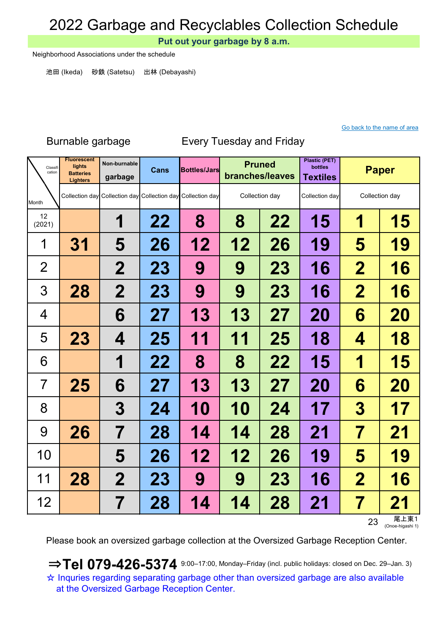Put out your garbage by 8 a.m.

Neighborhood Associations under the schedule

池田 (Ikeda) 砂鉄 (Satetsu) 出林 (Debayashi)

### Go back to the name of area

| Classifi<br>cation | <b>Fluorescent</b><br>lights<br><b>Batteries</b><br><b>Lighters</b> | Non-burnable<br>garbage | <b>Cans</b> | <b>Bottles/Jars</b>                                         |                | <b>Pruned</b><br>branches/leaves |                | <b>Paper</b>        |           |
|--------------------|---------------------------------------------------------------------|-------------------------|-------------|-------------------------------------------------------------|----------------|----------------------------------|----------------|---------------------|-----------|
| Month              |                                                                     |                         |             | Collection day Collection day Collection day Collection day | Collection day |                                  | Collection day | Collection day      |           |
| 12<br>(2021)       |                                                                     | 1                       | 22          | 8                                                           | 8              | 22                               | 15             | 1                   | 15        |
| 1                  | <b>31</b>                                                           | 5                       | 26          | 12                                                          | 12             | 26                               | 19             | 5                   | 19        |
| $\overline{2}$     |                                                                     | $\mathbf 2$             | <b>23</b>   | 9                                                           | 9              | <b>23</b>                        | 16             | $\mathbf 2$         | <b>16</b> |
| 3                  | 28                                                                  | $\mathbf 2$             | 23          | 9                                                           | 9              | <b>23</b>                        | 16             | $\mathbf 2$         | 16        |
| 4                  |                                                                     | 6                       | 27          | 13                                                          | 13             | 27                               | 20             | 6                   | 20        |
| 5                  | 23                                                                  | 4                       | 25          | 11                                                          | 11             | 25                               | 18             | 4                   | 18        |
| 6                  |                                                                     | 1                       | 22          | 8                                                           | 8              | 22                               | 15             | 1                   | 15        |
| 7                  | 25                                                                  | 6                       | 27          | 13                                                          | 13             | 27                               | 20             | 6                   | 20        |
| 8                  |                                                                     | 3                       | 24          | 10                                                          | <b>10</b>      | 24                               | 17             | 3                   | 17        |
| 9                  | 26                                                                  | $\overline{\mathbf{7}}$ | 28          | 14                                                          | 14             | 28                               | 21             | 7                   | 21        |
| 10                 |                                                                     | 5                       | 26          | 12                                                          | 12             | 26                               | 19             | 5                   | 19        |
| 11                 | 28                                                                  | $\mathbf 2$             | <b>23</b>   | 9                                                           | 9              | <b>23</b>                        | 16             | $\mathbf 2$         | 16        |
| 12                 |                                                                     | 7                       | 28          | 14                                                          | 14             | 28                               | 21             | $\overline{\prime}$ | 21        |

## Burnable garbage Every Tuesday and Friday

23 尾上東1<br><sub>(Onoe-higashi 1)</sub>

Please book an oversized garbage collection at the Oversized Garbage Reception Center.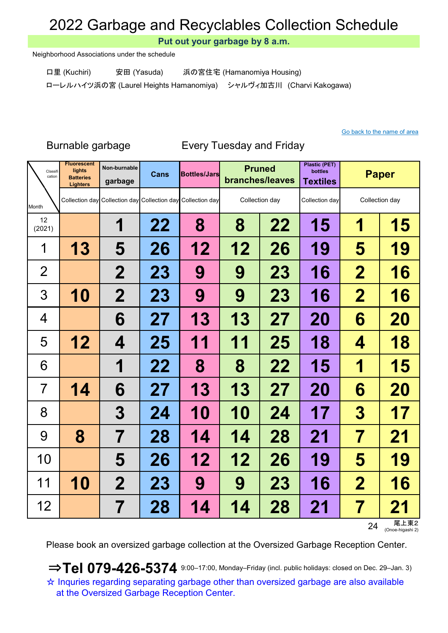Put out your garbage by 8 a.m.

Neighborhood Associations under the schedule

口里 (Kuchiri) 安田 (Yasuda) 浜の宮住宅 (Hamanomiya Housing)

ローレルハイツ浜の宮 (Laurel Heights Hamanomiya) シャルヴィ加古川 (Charvi Kakogawa)

Go back to the name of area

| Classifi<br>cation | <b>Fluorescent</b><br>lights<br><b>Batteries</b><br><b>Lighters</b> | Non-burnable<br>garbage | <b>Cans</b> | <b>Bottles/Jars</b>                                         |    | <b>Pruned</b><br>branches/leaves |           | <b>Paper</b>            |             |
|--------------------|---------------------------------------------------------------------|-------------------------|-------------|-------------------------------------------------------------|----|----------------------------------|-----------|-------------------------|-------------|
| Month              |                                                                     |                         |             | Collection day Collection day Collection day Collection day |    | Collection day                   |           | Collection day          |             |
| 12<br>(2021)       |                                                                     | 1                       | 22          | 8                                                           | 8  | 22                               | 15        | 1                       | 15          |
| 1                  | 13                                                                  | 5                       | 26          | 12                                                          | 12 | 26                               | 19        | 5                       | 19          |
| $\overline{2}$     |                                                                     | $\mathbf 2$             | <b>23</b>   | 9                                                           | 9  | 23                               | 16        | $\mathbf 2$             | <b>16</b>   |
| 3                  | 10                                                                  | $\mathbf 2$             | 23          | 9                                                           | 9  | 23                               | 16        | $\boldsymbol{2}$        | 16          |
| 4                  |                                                                     | 6                       | 27          | 13                                                          | 13 | 27                               | <b>20</b> | 6                       | 20          |
| 5                  | 12                                                                  | 4                       | 25          | 11                                                          | 11 | 25                               | 18        | 4                       | 18          |
| 6                  |                                                                     | 1                       | 22          | 8                                                           | 8  | 22                               | 15        | 1                       | 15          |
| 7                  | 14                                                                  | 6                       | 27          | 13                                                          | 13 | 27                               | <b>20</b> | 6                       | 20          |
| 8                  |                                                                     | 3                       | 24          | 10                                                          | 10 | 24                               | 17        | $\boldsymbol{3}$        | 17          |
| 9                  | 8                                                                   | 7                       | 28          | 14                                                          | 14 | 28                               | 21        | 7                       | 21          |
| 10                 |                                                                     | 5                       | 26          | 12                                                          | 12 | 26                               | 19        | 5                       | 19          |
| 11                 | 10                                                                  | $\overline{2}$          | <b>23</b>   | 9                                                           | 9  | <b>23</b>                        | 16        | $\mathbf 2$             | 16          |
| 12                 |                                                                     | 7                       | 28          | 14                                                          | 14 | 28                               | 21        | $\overline{\mathbf{7}}$ | 21<br>尾 ト市っ |

Burnable garbage Every Tuesday and Friday

24 尾上東2<br><sub>(Onoe-higashi 2)</sub>

Please book an oversized garbage collection at the Oversized Garbage Reception Center.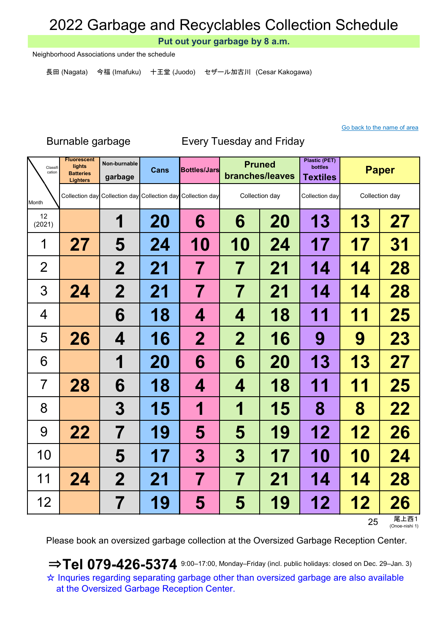Put out your garbage by 8 a.m.

Neighborhood Associations under the schedule

長田 (Nagata) 今福 (Imafuku) 十王堂 (Juodo) セザール加古川 (Cesar Kakogawa)

### Go back to the name of area

Burnable garbage Every Tuesday and Friday

| Classifi<br>cation | <b>Fluorescent</b><br>lights<br><b>Batteries</b><br><b>Lighters</b> | Non-burnable<br>garbage | <b>Cans</b> | <b>Bottles/Jars</b>                                         | <b>Pruned</b><br>branches/leaves |           | <b>Plastic (PET)</b><br>bottles<br><b>Textiles</b> |           | <b>Paper</b>       |
|--------------------|---------------------------------------------------------------------|-------------------------|-------------|-------------------------------------------------------------|----------------------------------|-----------|----------------------------------------------------|-----------|--------------------|
| Month              |                                                                     |                         |             | Collection day Collection day Collection day Collection day | Collection day                   |           | Collection day                                     |           | Collection day     |
| 12<br>(2021)       |                                                                     | 1                       | 20          | 6                                                           | 6                                | 20        | 13                                                 | 13        | 27                 |
| 1                  | 27                                                                  | 5                       | 24          | <b>10</b>                                                   | <b>10</b>                        | 24        | 17                                                 | 17        | 31                 |
| $\overline{2}$     |                                                                     | $\mathbf 2$             | 21          | 7                                                           | 7                                | 21        | 14                                                 | 14        | 28                 |
| 3                  | 24                                                                  | $\mathbf{2}$            | 21          | 7                                                           | 7                                | 21        | 14                                                 | 14        | 28                 |
| 4                  |                                                                     | 6                       | 18          | 4                                                           | 4                                | 18        | 11                                                 | 11        | 25                 |
| 5                  | 26                                                                  | 4                       | <b>16</b>   | $\mathbf 2$                                                 | $\mathbf 2$                      | 16        | 9                                                  | 9         | 23                 |
| 6                  |                                                                     | 1                       | 20          | 6                                                           | 6                                | <b>20</b> | 13                                                 | 13        | 27                 |
| $\overline{7}$     | 28                                                                  | 6                       | 18          | 4                                                           | 4                                | 18        | 11                                                 | 11        | 25                 |
| 8                  |                                                                     | 3                       | 15          | 1                                                           | 1                                | 15        | 8                                                  | 8         | 22                 |
| 9                  | 22                                                                  | 7                       | 19          | 5                                                           | 5                                | 19        | 12                                                 | 12        | 26                 |
| 10                 |                                                                     | 5                       | 17          | 3                                                           | 3                                | 17        | <b>10</b>                                          | <b>10</b> | 24                 |
| 11                 | 24                                                                  | $\mathbf 2$             | 21          | 7                                                           | 7                                | 21        | 14                                                 | 14        | 28                 |
| 12                 |                                                                     | 7                       | 19          | 5                                                           | 5                                | 19        | 12                                                 | 12        | <b>26</b><br>尾 ト西1 |

25 尾上西1<br><sub>(Onoe-nishi 1)</sub>

Please book an oversized garbage collection at the Oversized Garbage Reception Center.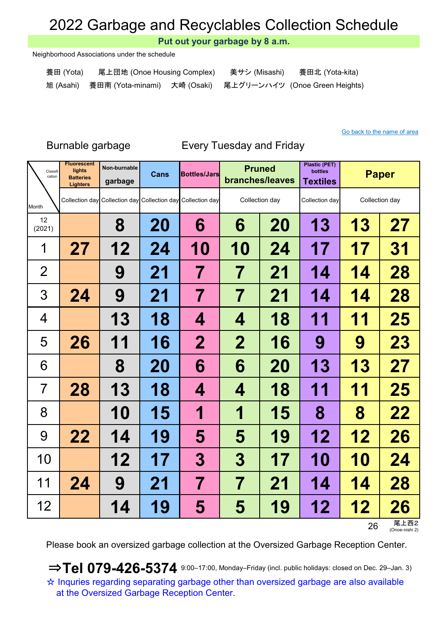Put out your garbage by 8 a.m.

Neighborhood Associations under the schedule

| 養田 (Yota) | 尾上団地 (Onoe Housing Complex)                                           | 美サシ (Misashi) | 養田北 (Yota-kita) |
|-----------|-----------------------------------------------------------------------|---------------|-----------------|
|           | 旭 (Asahi) 養田南 (Yota-minami) 大崎 (Osaki) 尾上グリーンハイツ (Onoe Green Heights) |               |                 |

#### Go back to the name of area

### Burnable garbage Every Tuesday and Friday

| Classifi<br>cation | <b>Fluorescent</b><br>lights<br><b>Batteries</b><br><b>Lighters</b> | Non-burnable<br>garbage | <b>Cans</b> | <b>Bottles/Jars</b>                                         |                          | <b>Pruned</b><br>branches/leaves | <b>Plastic (PET)</b><br>bottles<br><b>Textiles</b> | <b>Paper</b>           |    |
|--------------------|---------------------------------------------------------------------|-------------------------|-------------|-------------------------------------------------------------|--------------------------|----------------------------------|----------------------------------------------------|------------------------|----|
| Month              |                                                                     |                         |             | Collection day Collection day Collection day Collection day |                          | Collection day                   | Collection day                                     | Collection day         |    |
| 12<br>(2021)       |                                                                     | 8                       | 20          | 6                                                           | 6                        | 20                               | 13                                                 | <b>13</b>              | 27 |
| 1                  | 27                                                                  | 12                      | 24          | 10                                                          | <b>10</b>                | 24                               | 17                                                 | 17                     | 31 |
| $\overline{2}$     |                                                                     | 9                       | 21          | 7                                                           | 7                        | 21                               | 14                                                 | 14                     | 28 |
| 3                  | 24                                                                  | 9                       | 21          | 7                                                           | 7                        | 21                               | 14                                                 | 14                     | 28 |
| 4                  |                                                                     | 13                      | 18          | 4                                                           | 4                        | 18                               | 11                                                 | 11                     | 25 |
| 5                  | 26                                                                  | 11                      | <b>16</b>   | $\mathbf 2$                                                 | $\mathbf 2$              | 16                               | 9                                                  | 9                      | 23 |
| 6                  |                                                                     | 8                       | <b>20</b>   | 6                                                           | 6                        | 20                               | 13                                                 | <b>13</b>              | 27 |
| $\overline{7}$     | 28                                                                  | 13                      | 18          | 4                                                           | 4                        | 18                               | 11                                                 | 11                     | 25 |
| 8                  |                                                                     | <b>10</b>               | 15          | 1                                                           | 1                        | 15                               | 8                                                  | 8                      | 22 |
| 9                  | 22                                                                  | 14                      | 19          | 5                                                           | 5                        | 19                               | 12                                                 | 12                     | 26 |
| 10                 |                                                                     | 12                      | 17          | 3                                                           | 3                        | 17                               | <b>10</b>                                          | <b>10</b>              | 24 |
| 11                 | 24                                                                  | 9                       | 21          | $\overline{\mathbf{7}}$                                     | $\overline{\mathcal{I}}$ | 21                               | 14                                                 | 14                     | 28 |
| 12                 |                                                                     | 14                      | 19          | 5                                                           | 5                        | 19                               | 12                                                 | 12                     | 26 |
|                    |                                                                     |                         |             |                                                             |                          |                                  | 26                                                 | 尾上西2<br>(Onoe-nishi 2) |    |

Please book an oversized garbage collection at the Oversized Garbage Reception Center.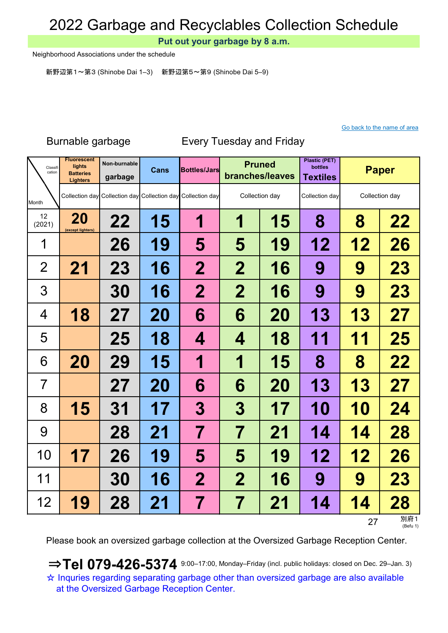Put out your garbage by 8 a.m.

Neighborhood Associations under the schedule

新野辺第1~第3 (Shinobe Dai 1–3) 新野辺第5~第9 (Shinobe Dai 5–9)

### Go back to the name of area

| Classifi<br>cation | <b>Fluorescent</b><br>lights<br><b>Batteries</b><br><b>Lighters</b> | Non-burnable<br>garbage | <b>Cans</b> | <b>Bottles/Jars</b>                                         | <b>Pruned</b><br>branches/leaves |           | <b>Plastic (PET)</b><br>bottles<br><b>Textiles</b> | <b>Paper</b>   |                 |
|--------------------|---------------------------------------------------------------------|-------------------------|-------------|-------------------------------------------------------------|----------------------------------|-----------|----------------------------------------------------|----------------|-----------------|
| Month              |                                                                     |                         |             | Collection day Collection day Collection day Collection day | Collection day                   |           | Collection day                                     | Collection day |                 |
| 12<br>(2021)       | 20<br>(except lighters)                                             | 22                      | 15          | 1                                                           | 1<br>15                          |           | 8                                                  | 8              | 22              |
| 1                  |                                                                     | 26                      | 19          | 5                                                           | 5                                | 19        | 12                                                 | 12             | 26              |
| $\overline{2}$     | 21                                                                  | <b>23</b>               | 16          | $\mathbf 2$                                                 | $\mathbf 2$                      | 16        | 9                                                  | 9              | 23              |
| 3                  |                                                                     | 30                      | <b>16</b>   | $\mathbf 2$                                                 | $\mathbf 2$                      | 16        | 9                                                  | 9              | 23              |
| $\overline{4}$     | 18                                                                  | 27                      | 20          | 6                                                           | 6                                | <b>20</b> | 13                                                 | 13             | 27              |
| 5                  |                                                                     | 25                      | 18          | 4                                                           | 4                                | 18        | 11                                                 | 11             | 25              |
| 6                  | 20                                                                  | <b>29</b>               | 15          | 1                                                           | 1                                | 15        | 8                                                  | 8              | 22              |
| 7                  |                                                                     | 27                      | <b>20</b>   | 6                                                           | 6                                | <b>20</b> | 13                                                 | 13             | 27              |
| 8                  | 15                                                                  | <b>31</b>               | 17          | 3                                                           | 3                                | 17        | <b>10</b>                                          | 10             | 24              |
| 9                  |                                                                     | 28                      | 21          | 7                                                           | 7                                | 21        | 14                                                 | 14             | 28              |
| 10                 | 17                                                                  | 26                      | 19          | 5                                                           | 5                                | 19        | 12                                                 | 12             | 26              |
| 11                 |                                                                     | <b>30</b>               | 16          | $\mathbf 2$                                                 | $\mathbf 2$                      | 16        | 9                                                  | 9              | <b>23</b>       |
| 12                 | 19                                                                  | 28                      | 21          | 7                                                           | 7                                | 21        | 14                                                 | 14             | 28              |
|                    |                                                                     |                         |             |                                                             |                                  |           |                                                    | 27             | 別府1<br>(Befu 1) |

## Burnable garbage Every Tuesday and Friday

Please book an oversized garbage collection at the Oversized Garbage Reception Center.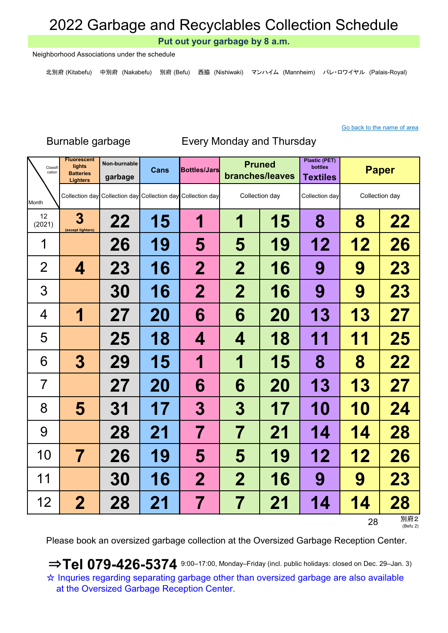Put out your garbage by 8 a.m.

Neighborhood Associations under the schedule

北別府 (Kitabefu) 中別府 (Nakabefu) 別府 (Befu) 西脇 (Nishiwaki) マンハイム (Mannheim) パレ・ロワイヤル (Palais-Royal)

#### Go back to the name of area

### Burnable garbage Every Monday and Thursday

| Classifi<br>cation | <b>Fluorescent</b><br>lights<br><b>Batteries</b><br><b>Lighters</b> | Non-burnable<br>garbage | Cans      | <b>Bottles/Jars</b>                                         | <b>Pruned</b><br>branches/leaves |           | <b>Plastic (PET)</b><br>bottles<br><b>Textiles</b> | <b>Paper</b>   |                 |
|--------------------|---------------------------------------------------------------------|-------------------------|-----------|-------------------------------------------------------------|----------------------------------|-----------|----------------------------------------------------|----------------|-----------------|
| Month              |                                                                     |                         |           | Collection day Collection day Collection day Collection day | Collection day                   |           | Collection day                                     | Collection day |                 |
| 12<br>(2021)       | 3<br>(except lighters)                                              | 22                      | <b>15</b> | 1                                                           | 1<br>15                          |           | 8                                                  | 8              | 22              |
| 1                  |                                                                     | 26                      | 19        | 5                                                           | 5                                | 19        | 12                                                 | 12             | 26              |
| $\overline{2}$     | 4                                                                   | 23                      | <b>16</b> | $\mathbf 2$                                                 | $\mathbf 2$                      | <b>16</b> | 9                                                  | 9              | 23              |
| 3                  |                                                                     | 30                      | <b>16</b> | 2                                                           | $\bf{2}$                         | 16        | 9                                                  | 9              | 23              |
| 4                  | 1                                                                   | 27                      | 20        | 6                                                           | 6                                | <b>20</b> | 13                                                 | 13             | 27              |
| 5                  |                                                                     | 25                      | 18        | 4                                                           | 4                                | 18        | 11                                                 | 11             | 25              |
| 6                  | 3                                                                   | 29                      | 15        | 1                                                           | 1                                | 15        | 8                                                  | 8              | 22              |
| $\overline{7}$     |                                                                     | 27                      | <b>20</b> | 6                                                           | 6                                | <b>20</b> | 13                                                 | 13             | 27              |
| 8                  | 5                                                                   | 31                      | 17        | 3                                                           | 3                                | 17        | 10                                                 | <b>10</b>      | 24              |
| 9                  |                                                                     | 28                      | 21        | 7                                                           | 7                                | 21        | 14                                                 | 14             | 28              |
| 10                 | $\overline{\mathbf{7}}$                                             | 26                      | 19        | 5                                                           | 5                                | 19        | 12                                                 | 12             | 26              |
| 11                 |                                                                     | <b>30</b>               | <b>16</b> | $\overline{2}$                                              | $\mathbf 2$                      | <b>16</b> | 9                                                  | 9              | <b>23</b>       |
| 12                 | $\mathbf 2$                                                         | 28                      | 21        | 7                                                           | 7                                | 21        | 14                                                 | 14             | 28              |
|                    |                                                                     |                         |           |                                                             |                                  |           |                                                    | 28             | 別府2<br>(Befu 2) |

Please book an oversized garbage collection at the Oversized Garbage Reception Center.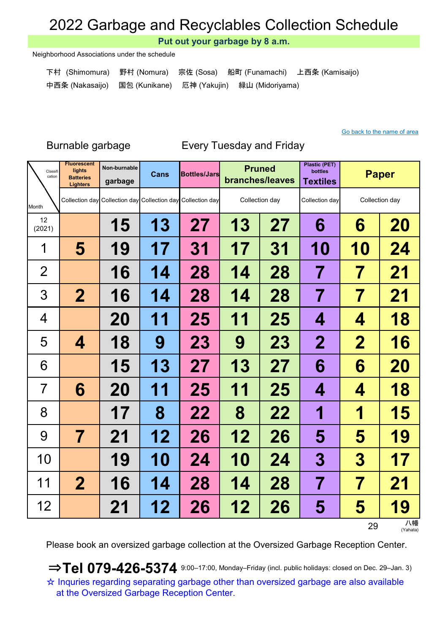Put out your garbage by 8 a.m.

Neighborhood Associations under the schedule

| 下村 (Shimomura)  野村 (Nomura)  宗佐 (Sosa)  船町 (Funamachi)  上西条 (Kamisaijo) |  |  |
|-------------------------------------------------------------------------|--|--|
| 中西条 (Nakasaijo) 国包 (Kunikane) 厄神 (Yakujin) 緑山 (Midoriyama)              |  |  |

#### Go back to the name of area

### Non-burnable Cans Bottles/Jars Pruned Plastic (PET) bottles <u>Gans</u> Bottles/Jars Thanches/leaves bottles **Paper** Paper Month 15 | 13 | 27 | 13 | 27 | 6 | 6 | 20 5 | 19 | 17 | 31 | 17 | 31 | 10 | 10 | 24 16 | 14 | 28 | 14 | 28 | 7 | 7 | 21 2 | 16 | 14 | 28 | 14 | 28 | 7 | 7 | 21 20 | 11 | 25 | 11 | 25 |  $\,$  4  $\,$  |  $\,$  4  $\,$  | 18 4 | 18 | 9 | 23 | 9 | 23 | 2 | 2 | 16 15 | 13 | 27 | 13 | 27 | 6 | 6 | 20 6 20 11 25 11 25 4 4 18 17 | 8 | 22 | 8 | 22 | 1 | 1 | 15 7 | 21 | 12 | 26 | 12 | 26 |  $\,$  5 |  $\,$  5 | 19 19 | 10 | 24 | 10 | 24 | 3 | 3 | 17 2 | 16 | 14 | 28 | 14 | 28 | 7 | 7 | 21 21 | 12 | 26 | 12 | 26 |  $\,$  5  $\,$  |  $\,$  5  $\,$  | 19 12 (2021) Fluorescent lights **Batteries** Lighters 1 2 3 4 5 12 6 7 8 9 10 Classit<br>cation Classifi **Lights** Non-burnable **Cans Bottles/Jars Pruned** Collection day Collection day Collection day Collection day Collection day Collection day Collection day 11

Burnable garbage Every Tuesday and Friday

29 <sup>八幡</sup>

Please book an oversized garbage collection at the Oversized Garbage Reception Center.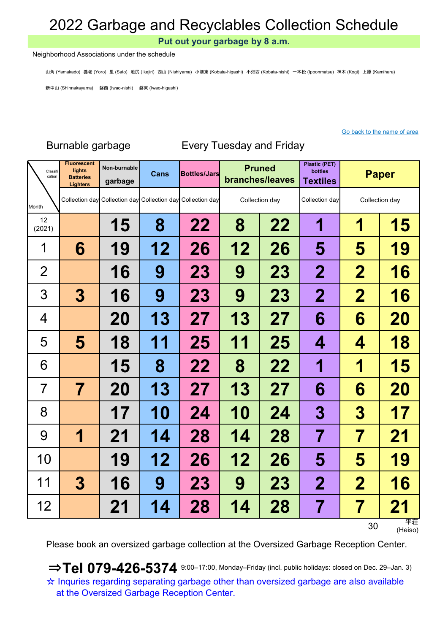Put out your garbage by 8 a.m.

#### Neighborhood Associations under the schedule

山角 (Yamakado) 養老 (Yoro) 里 (Sato) 池尻 (Ikejiri) 西山 (Nishiyama) 小畑東 (Kobata-higashi) 小畑西 (Kobata-nishi) 一本松 (Ipponmatsu) 神木 (Kogi) 上原 (Kamihara)

新中山 (Shinnakayama) 磐西 (Iwao-nishi) 磐東 (Iwao-higashi)

### Go back to the name of area

| Classifi<br>cation | <b>Fluorescent</b><br>lights<br><b>Batteries</b><br><b>Lighters</b> | Non-burnable<br>garbage | Cans      | <b>Bottles/Jars</b>                                         | <b>Pruned</b><br>branches/leaves |                | <b>Plastic (PET)</b><br>bottles<br><b>Textiles</b> | <b>Paper</b>   |               |
|--------------------|---------------------------------------------------------------------|-------------------------|-----------|-------------------------------------------------------------|----------------------------------|----------------|----------------------------------------------------|----------------|---------------|
| Month              |                                                                     |                         |           | Collection day Collection day Collection day Collection day |                                  | Collection day | Collection day                                     | Collection day |               |
| 12<br>(2021)       |                                                                     | 15                      | 8         | 22                                                          | 8                                | 22             | 1                                                  | 1              | 15            |
| 1                  | 6                                                                   | 19                      | 12        | 26                                                          | 12                               | 26             | 5                                                  | 5              | 19            |
| $\overline{2}$     |                                                                     | 16                      | 9         | 23                                                          | 9                                | <b>23</b>      | $\mathbf 2$                                        | $\mathbf 2$    | <b>16</b>     |
| 3                  | 3                                                                   | 16                      | 9         | 23                                                          | 9                                | <b>23</b>      | $\mathbf 2$                                        | $\mathbf 2$    | 16            |
| 4                  |                                                                     | <b>20</b>               | 13        | 27                                                          | 13                               | 27             | 6                                                  | 6              | 20            |
| 5                  | 5                                                                   | 18                      | 11        | 25                                                          | 11                               | 25             | 4                                                  | 4              | 18            |
| 6                  |                                                                     | 15                      | 8         | 22                                                          | 8                                | 22             | 1                                                  | 1              | 15            |
| $\overline{7}$     | 7                                                                   | 20                      | 13        | 27                                                          | 13                               | 27             | 6                                                  | 6              | 20            |
| 8                  |                                                                     | 17                      | <b>10</b> | 24                                                          | <b>10</b>                        | 24             | 3                                                  | 3              | 17            |
| 9                  | 1                                                                   | 21                      | 14        | 28                                                          | 14                               | 28             | $\overline{\mathbf{7}}$                            | 7              | 21            |
| 10                 |                                                                     | 19                      | 12        | 26                                                          | 12                               | 26             | 5                                                  | 5              | 19            |
| 11                 | 3                                                                   | 16                      | 9         | 23                                                          | 9                                | <b>23</b>      | $\mathbf 2$                                        | $\mathbf 2$    | <b>16</b>     |
| 12                 |                                                                     | 21                      | 14        | 28                                                          | 14                               | 28             | 7                                                  | 7              | 21            |
|                    |                                                                     |                         |           |                                                             |                                  |                |                                                    | 30             | 平荘<br>(Heiso) |

Burnable garbage Every Tuesday and Friday

Please book an oversized garbage collection at the Oversized Garbage Reception Center.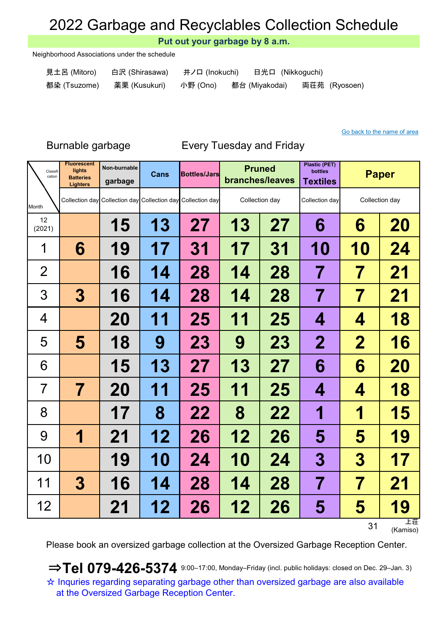Put out your garbage by 8 a.m.

Neighborhood Associations under the schedule

- 見土呂 (Mitoro) 白沢 (Shirasawa) 井ノ口 (Inokuchi) 日光口 (Nikkoguchi)
	-
- 

都染 (Tsuzome) 薬栗 (Kusukuri) 小野 (Ono) 都台 (Miyakodai) 両荘苑 (Ryosoen)

### Go back to the name of area

Burnable garbage Every Tuesday and Friday

| Classifi<br>cation | <b>Fluorescent</b><br>lights<br><b>Batteries</b><br><b>Lighters</b> | Non-burnable<br>garbage                      | Cans      | <b>Bottles/Jars</b> | <b>Pruned</b><br>branches/leaves |                | <b>Plastic (PET)</b><br>bottles<br><b>Textiles</b> | <b>Paper</b>   |                |
|--------------------|---------------------------------------------------------------------|----------------------------------------------|-----------|---------------------|----------------------------------|----------------|----------------------------------------------------|----------------|----------------|
| Month              |                                                                     | Collection day Collection day Collection day |           | Collection day      |                                  | Collection day | Collection day                                     | Collection day |                |
| 12<br>(2021)       |                                                                     | 15                                           | 13        | 27                  | 13                               | 27             | 6                                                  | 6              | <b>20</b>      |
| 1                  | 6                                                                   | 19                                           | 17        | 31                  | 17                               | 31             | <b>10</b>                                          | 10             | 24             |
| $\overline{2}$     |                                                                     | 16                                           | 14        | 28                  | 14                               | 28             | 7                                                  | 7              | 21             |
| 3                  | 3                                                                   | 16                                           | 14        | 28                  | 14                               | 28             | 7                                                  | 7              | 21             |
| 4                  |                                                                     | 20                                           | 11        | 25                  | 11                               | 25             | 4                                                  | 4              | 18             |
| 5                  | 5                                                                   | 18                                           | 9         | 23                  | 9                                | 23             | $\mathbf 2$                                        | $\mathbf 2$    | <b>16</b>      |
| 6                  |                                                                     | 15                                           | 13        | 27                  | 13                               | 27             | 6                                                  | 6              | <b>20</b>      |
| $\overline{7}$     | $\overline{\mathbf{7}}$                                             | 20                                           | 11        | 25                  | 11                               | 25             | 4                                                  | 4              | 18             |
| 8                  |                                                                     | 17                                           | 8         | 22                  | 8                                | 22             | 1                                                  | 1              | 15             |
| 9                  | 1                                                                   | 21                                           | 12        | 26                  | 12                               | 26             | 5                                                  | 5              | 19             |
| 10                 |                                                                     | 19                                           | <b>10</b> | 24                  | 10                               | 24             | 3                                                  | 3              | 17             |
| 11                 | 3                                                                   | 16                                           | 14        | 28                  | 14                               | 28             | 7                                                  | 7              | 21             |
| 12                 |                                                                     | 21                                           | 12        | 26                  | 12                               | 26             | 5                                                  | 5              | 19             |
|                    |                                                                     |                                              |           |                     |                                  |                |                                                    | 31             | 上荘<br>(Kamiso) |

Please book an oversized garbage collection at the Oversized Garbage Reception Center.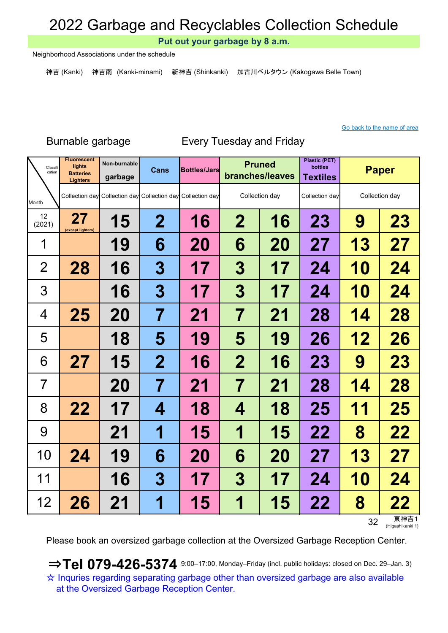Put out your garbage by 8 a.m.

Neighborhood Associations under the schedule

神吉 (Kanki) 神吉南 (Kanki-minami) 新神吉 (Shinkanki) 加古川ベルタウン (Kakogawa Belle Town)

### Go back to the name of area

### Burnable garbage Every Tuesday and Friday

| Classifi<br>cation | <b>Fluorescent</b><br>lights<br><b>Batteries</b><br><b>Lighters</b> | Non-burnable<br>garbage                                     | Cans             | <b>Bottles/Jars</b> | <b>Pruned</b><br>branches/leaves |                | <b>Plastic (PET)</b><br>bottles<br><b>Textiles</b> | <b>Paper</b> |                |
|--------------------|---------------------------------------------------------------------|-------------------------------------------------------------|------------------|---------------------|----------------------------------|----------------|----------------------------------------------------|--------------|----------------|
| Month              |                                                                     | Collection day Collection day Collection day Collection day |                  |                     |                                  | Collection day | Collection day                                     |              | Collection day |
| 12<br>(2021)       | 27<br>(except lighters)                                             | <b>15</b>                                                   | $\mathbf 2$      | 16                  | $\mathbf 2$                      | 16             | 23                                                 | 9            | 23             |
| 1                  |                                                                     | 19                                                          | 6                | <b>20</b>           | 6                                | <b>20</b>      | 27                                                 | 13           | 27             |
| $\overline{2}$     | 28                                                                  | 16                                                          | $\boldsymbol{3}$ | 17                  | 3                                | 17             | 24                                                 | <b>10</b>    | 24             |
| 3                  |                                                                     | 16                                                          | $\boldsymbol{3}$ | 17                  | 3                                | 17             | 24                                                 | <b>10</b>    | 24             |
| 4                  | 25                                                                  | <b>20</b>                                                   | 7                | 21                  | $\overline{\mathbf{7}}$          | 21             | 28                                                 | 14           | 28             |
| 5                  |                                                                     | 18                                                          | 5                | 19                  | 5                                | 19             | 26                                                 | 12           | 26             |
| 6                  | 27                                                                  | 15                                                          | $\mathbf 2$      | 16                  | $\overline{\mathbf{2}}$          | 16             | <b>23</b>                                          | 9            | 23             |
| 7                  |                                                                     | <b>20</b>                                                   | 7                | 21                  | 7                                | 21             | 28                                                 | 14           | 28             |
| 8                  | 22                                                                  | 17                                                          | 4                | 18                  | 4                                | 18             | 25                                                 | 11           | 25             |
| 9                  |                                                                     | 21                                                          | 1                | 15                  | 1                                | <b>15</b>      | 22                                                 | 8            | 22             |
| 10                 | 24                                                                  | 19                                                          | 6                | 20                  | 6                                | 20             | 27                                                 | 13           | 27             |
| 11                 |                                                                     | <b>16</b>                                                   | 3                | 17                  | 3                                | 17             | 24                                                 | <b>10</b>    | 24             |
| 12                 | 26                                                                  | 21                                                          | 1                | 15                  | 1                                | <b>15</b>      | 22                                                 | 8            | 22<br>$+ + +$  |

32 東神吉1<br><sub>(Higashikanki 1)</sub>

Please book an oversized garbage collection at the Oversized Garbage Reception Center.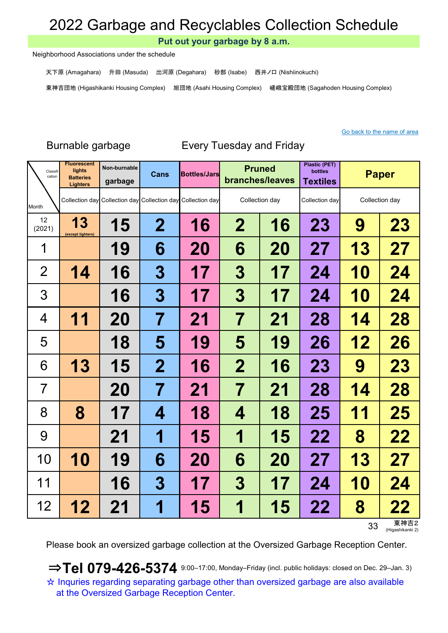Put out your garbage by 8 a.m.

Neighborhood Associations under the schedule

天下原 (Amagahara) 升田 (Masuda) 出河原 (Degahara) 砂部 (Isabe) 西井ノ口 (Nishiinokuchi)

東神吉団地 (Higashikanki Housing Complex) 旭団地 (Asahi Housing Complex) 嵯峨宝殿団地 (Sagahoden Housing Complex)

## Burnable garbage Every Tuesday and Friday

| Classifi<br>cation | <b>Fluorescent</b><br>lights<br><b>Batteries</b><br><b>Lighters</b> | Non-burnable<br>garbage | <b>Cans</b>              | <b>Bottles/Jars</b>                                         | <b>Pruned</b><br>branches/leaves |                | <b>Plastic (PET)</b><br>bottles<br><b>Textiles</b> | <b>Paper</b>   |           |
|--------------------|---------------------------------------------------------------------|-------------------------|--------------------------|-------------------------------------------------------------|----------------------------------|----------------|----------------------------------------------------|----------------|-----------|
| Month              |                                                                     |                         |                          | Collection day Collection day Collection day Collection day |                                  | Collection day | Collection day                                     | Collection day |           |
| 12<br>(2021)       | 13<br>(except lighters)                                             | 15                      | $\mathbf 2$              | 16                                                          | $\mathbf 2$<br>16                |                | <b>23</b>                                          | 9              | 23        |
| 1                  |                                                                     | 19                      | 6                        | <b>20</b>                                                   | 6                                | <b>20</b>      | 27                                                 | <b>13</b>      | 27        |
| $\overline{2}$     | 14                                                                  | 16                      | 3                        | 17                                                          | 3                                | 17             | 24                                                 | <b>10</b>      | 24        |
| 3                  |                                                                     | 16                      | 3                        | 17                                                          | 3                                | 17             | 24                                                 | <b>10</b>      | 24        |
| 4                  | 11                                                                  | <b>20</b>               | 7                        | 21                                                          | 7                                | 21             | 28                                                 | 14             | 28        |
| 5                  |                                                                     | 18                      | 5                        | 19                                                          | 5                                | 19             | 26                                                 | 12             | 26        |
| 6                  | 13                                                                  | 15                      | $\bf{2}$                 | 16                                                          | $\mathbf 2$                      | 16             | <b>23</b>                                          | 9              | <b>23</b> |
| $\overline{7}$     |                                                                     | 20                      | 7                        | 21                                                          | 7                                | 21             | 28                                                 | 14             | 28        |
| 8                  | 8                                                                   | 17                      | 4                        | 18                                                          | 4                                | 18             | 25                                                 | 11             | 25        |
| 9                  |                                                                     | 21                      | 1                        | 15                                                          | 1                                | 15             | 22                                                 | 8              | 22        |
| 10                 | 10                                                                  | 19                      | 6                        | 20                                                          | 6                                | <b>20</b>      | 27                                                 | 13             | 27        |
| 11                 |                                                                     | 16                      | 3                        | 17                                                          | 3                                | 17             | 24                                                 | 10             | 24        |
| 12                 | 12                                                                  | 21                      | $\overline{\phantom{a}}$ | 15                                                          | 1                                | 15             | 22                                                 | 8              | 22        |

33 東神吉2<br><sub>(Higashikanki 2)</sub>

Please book an oversized garbage collection at the Oversized Garbage Reception Center.

 $\Rightarrow$  Tel 079-426-5374 9:00-17:00, Monday–Friday (incl. public holidays: closed on Dec. 29–Jan. 3) ☆ Inquries regarding separating garbage other than oversized garbage are also available at the Oversized Garbage Reception Center.

### Go back to the name of area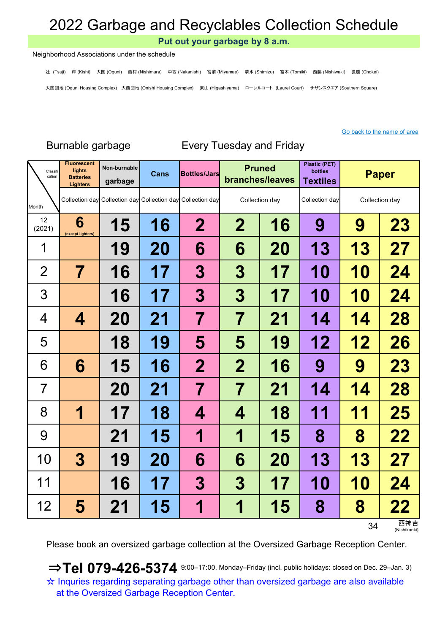Put out your garbage by 8 a.m.

#### Neighborhood Associations under the schedule

辻 (Tsuji) 岸 (Kishi) 大国 (Oguni) 西村 (Nishimura) 中西 (Nakanishi) 宮前 (Miyamae) 清水 (Shimizu) 富木 (Tomiki) 西脇 (Nishiwaki) 長慶 (Chokei) 大国団地 (Oguni Housing Complex) 大西団地 (Onishi Housing Complex) 東山 (Higashiyama) ローレルコート (Laurel Court) サザンスクエア (Southern Square)

#### Go back to the name of area

| Classifi<br>cation | <b>Fluorescent</b><br>lights<br><b>Batteries</b><br><b>Lighters</b> | Non-burnable<br>garbage | <b>Cans</b> | <b>Bottles/Jars</b>                                         | <b>Pruned</b><br>branches/leaves |                | <b>Plastic (PET)</b><br>bottles<br><b>Textiles</b> | <b>Paper</b>   |    |
|--------------------|---------------------------------------------------------------------|-------------------------|-------------|-------------------------------------------------------------|----------------------------------|----------------|----------------------------------------------------|----------------|----|
| Month              |                                                                     |                         |             | Collection day Collection day Collection day Collection day |                                  | Collection day | Collection day                                     | Collection day |    |
| 12<br>(2021)       | 6<br>(except lighters)                                              | 15                      | 16          | $\mathbf 2$                                                 | $\mathbf 2$                      | 16             | 9                                                  | 9              | 23 |
| 1                  |                                                                     | 19                      | <b>20</b>   | 6                                                           | 6                                | <b>20</b>      | 13                                                 | 13             | 27 |
| $\overline{2}$     | 7                                                                   | 16                      | 17          | 3                                                           | $\boldsymbol{3}$                 | 17             | <b>10</b>                                          | <b>10</b>      | 24 |
| 3                  |                                                                     | 16                      | 17          | 3                                                           | $\bf{3}$                         | 17             | <b>10</b>                                          | <b>10</b>      | 24 |
| 4                  | 4                                                                   | 20                      | 21          | 7                                                           | $\overline{\mathcal{I}}$         | 21             | 14                                                 | 14             | 28 |
| 5                  |                                                                     | 18                      | 19          | 5                                                           | 5                                | 19             | 12                                                 | 12             | 26 |
| 6                  | 6                                                                   | 15                      | 16          | $\mathbf 2$                                                 | $\overline{2}$                   | 16             | 9                                                  | 9              | 23 |
| 7                  |                                                                     | 20                      | 21          | 7                                                           | 7                                | 21             | 14                                                 | 14             | 28 |
| 8                  | 1                                                                   | 17                      | 18          | 4                                                           | 4                                | 18             | 11                                                 | 11             | 25 |
| 9                  |                                                                     | 21                      | 15          | 1                                                           | 1                                | 15             | 8                                                  | 8              | 22 |
| 10                 | $\boldsymbol{3}$                                                    | 19                      | <b>20</b>   | 6                                                           | 6                                | <b>20</b>      | 13                                                 | <b>13</b>      | 27 |
| 11                 |                                                                     | 16                      | 17          | 3                                                           | 3                                | 17             | <b>10</b>                                          | 10             | 24 |
| 12                 | 5                                                                   | 21                      | <b>15</b>   | $\overline{\phantom{a}}$                                    | 1                                | 15             | 8                                                  | 8              | 22 |

## Burnable garbage Every Tuesday and Friday

34 西神吉 (Nishikanki)

Please book an oversized garbage collection at the Oversized Garbage Reception Center.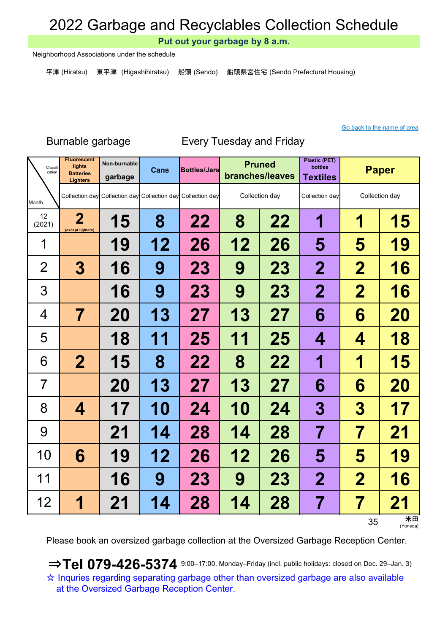Put out your garbage by 8 a.m.

Neighborhood Associations under the schedule

平津 (Hiratsu) 東平津 (Higashihiratsu) 船頭 (Sendo) 船頭県営住宅 (Sendo Prefectural Housing)

### Go back to the name of area

### Non-burnable Cans Bottles/Jars Pruned Plastic (PET) bottles garbage Cans Bottles/Jars Prince bottles bottles Paper Month 2 (except lighters) 15 8 22 8 22 1 1 15 19 | 12 | 26 | 12 | 26 | 5 | 5 | 19 3 | 16 | 9 | 23 | 9 | 23 | 2 | 2 | 16 16 9 23 9 23 2 2 2 16 7 | 20 | 13 | 27 | 13 | 27 |  $\,$  6 |  $\,$  6 |  $\,$  20 18 | 11 | 25 | 11 | 25 |  $\,$  4  $\,$  |  $\,$  4  $\,$  | 18 2 | 15 | 8 | 22 | 8 | 22 | 1 | 1 | 15 20 | 13 | 27 | 13 | 27 | 6 | 6 | 20 4 | 17 | 10 | 24 | 10 | 24 |  $\,$  3 |  $\,$  3 | 17 21 | 14 | 28 | 14 | 28 | 7 | 7 | 21 6 | 19 | 12 | 26 | 12 | 26 | 5 | 5 | 19 16 9 23 9 23 2 2 2 16 1 21 4 28 14 28 7 7 21 12 (2021) Fluorescent lights **Batteries** Lighters 1 2 3 4 5 12 6 7 8 9 10 Classit Classifi **Lights** Non-burnable **Cans Bottles/Jars Pruned** Collection day Collection day Collection day Collection day Collection day Collection day Collection day 11

Burnable garbage Every Tuesday and Friday

35 米田 (Yoneda)

Please book an oversized garbage collection at the Oversized Garbage Reception Center.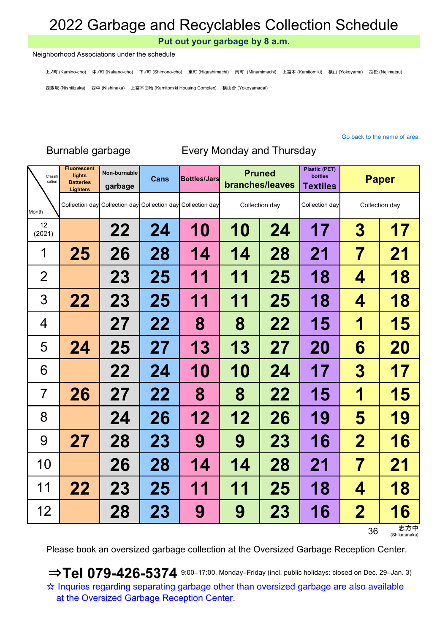Put out your garbage by 8 a.m.

Neighborhood Associations under the schedule

上ノ町 (Kamino-cho) 中ノ町 (Nakano-cho) 下ノ町 (Shimono-cho) 東町 (Higashimachi) 南町 (Minamimachi) 上冨木 (Kamitomiki) 横山 (Yokoyama) 投松 (Nejimatsu) 西飯坂 (Nishiiizaka) 西中 (Nishinaka) 上冨木団地 (Kamitomiki Housing Complex) 横山台 (Yokoyamadai)

Go back to the name of area

Burnable garbage Every Monday and Thursday

| Classifi<br>cation | <b>Fluorescent</b><br>lights<br><b>Batteries</b><br><b>Lighters</b> | Non-burnable<br>garbage | Cans      | <b>Bottles/Jars</b>                                         | <b>Pruned</b><br>branches/leaves |                | <b>Plastic (PET)</b><br>bottles<br><b>Textiles</b> | <b>Paper</b>            |                |
|--------------------|---------------------------------------------------------------------|-------------------------|-----------|-------------------------------------------------------------|----------------------------------|----------------|----------------------------------------------------|-------------------------|----------------|
| Month              |                                                                     |                         |           | Collection day Collection day Collection day Collection day |                                  | Collection day | Collection day                                     |                         | Collection day |
| 12<br>(2021)       |                                                                     | 22                      | 24        | 10                                                          | 10                               | 24             | 17                                                 | 3                       | 17             |
| 1                  | 25                                                                  | 26                      | 28        | 14                                                          | 14                               | 28             | 21                                                 | 7                       | 21             |
| $\overline{2}$     |                                                                     | <b>23</b>               | 25        | 1<br>  1                                                    | 1<br>1                           | 25             | 18                                                 | 4                       | 18             |
| 3                  | 22                                                                  | 23                      | 25        | 11                                                          | 11                               | 25             | 18                                                 | 4                       | 18             |
| 4                  |                                                                     | 27                      | 22        | 8                                                           | 8                                | 22             | 15                                                 | 1                       | 15             |
| 5                  | 24                                                                  | 25                      | 27        | 13                                                          | 13                               | 27             | 20                                                 | 6                       | 20             |
| 6                  |                                                                     | 22                      | 24        | <b>10</b>                                                   | 10                               | 24             | 17                                                 | $\boldsymbol{3}$        | 17             |
| $\overline{7}$     | 26                                                                  | 27                      | 22        | 8                                                           | 8                                | 22             | 15                                                 | 1                       | 15             |
| 8                  |                                                                     | 24                      | 26        | 12                                                          | 12                               | 26             | 19                                                 | 5                       | 19             |
| 9                  | 27                                                                  | 28                      | 23        | 9                                                           | 9                                | 23             | 16                                                 | $\overline{\mathbf{2}}$ | 16             |
| 10                 |                                                                     | 26                      | 28        | 14                                                          | 14                               | 28             | 21                                                 | $\overline{\mathbf{7}}$ | 21             |
| 11                 | 22                                                                  | <b>23</b>               | 25        | 11                                                          | 11                               | 25             | 18                                                 | 4                       | 18             |
| 12                 |                                                                     | 28                      | <b>23</b> | 9                                                           | 9                                | <b>23</b>      | 16                                                 | $\mathbf 2$             | 16<br>志方中      |

36 志方中 (Shikatanaka)

Please book an oversized garbage collection at the Oversized Garbage Reception Center.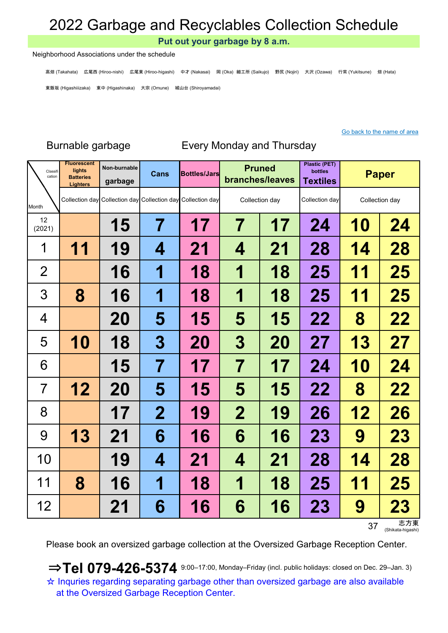Put out your garbage by 8 a.m.

Neighborhood Associations under the schedule

高畑 (Takahata) 広尾西 (Hiroo-nishi) 広尾東 (Hiroo-higashi) 中才 (Nakasai) 岡 (Oka) 細工所 (Saikujo) 野尻 (Nojiri) 大沢 (Ozawa) 行常 (Yukitsune) 畑 (Hata) 東飯坂 (Higashiiizaka) 東中 (Higashinaka) 大宗 (Omune) 城山台 (Shiroyamadai)

### Go back to the name of area

| Classifi<br>cation | <b>Fluorescent</b><br>lights<br><b>Batteries</b><br><b>Lighters</b> | Non-burnable<br>garbage | <b>Cans</b> | <b>Bottles/Jars</b>                                         | <b>Pruned</b><br>branches/leaves |                | <b>Plastic (PET)</b><br>bottles<br><b>Textiles</b> | <b>Paper</b>   |           |
|--------------------|---------------------------------------------------------------------|-------------------------|-------------|-------------------------------------------------------------|----------------------------------|----------------|----------------------------------------------------|----------------|-----------|
| Month              |                                                                     |                         |             | Collection day Collection day Collection day Collection day |                                  | Collection day | Collection day                                     | Collection day |           |
| 12<br>(2021)       |                                                                     | <b>15</b>               | 7           | 17                                                          | 7                                | 17             | 24                                                 | 10             | 24        |
| 1                  | 11                                                                  | 19                      | 4           | 21                                                          | 4                                | 21             | 28                                                 | 14             | 28        |
| $\overline{2}$     |                                                                     | 16                      | 1           | 18                                                          | 1                                | 18             | 25                                                 | 11             | 25        |
| 3                  | 8                                                                   | 16                      | 1           | 18                                                          | 1                                | 18             | 25                                                 | 11             | 25        |
| 4                  |                                                                     | <b>20</b>               | 5           | 15                                                          | 5                                | 15             | 22                                                 | 8              | 22        |
| 5                  | 10                                                                  | 18                      | 3           | 20                                                          | 3                                | 20             | 27                                                 | 13             | 27        |
| 6                  |                                                                     | 15                      | 7           | 17                                                          | 7                                | 17             | 24                                                 | <b>10</b>      | 24        |
| $\overline{7}$     | 12                                                                  | <b>20</b>               | 5           | 15                                                          | 5                                | 15             | 22                                                 | 8              | 22        |
| 8                  |                                                                     | 17                      | $\mathbf 2$ | 19                                                          | $\mathbf 2$                      | 19             | 26                                                 | 12             | 26        |
| 9                  | 13                                                                  | 21                      | 6           | 16                                                          | 6                                | 16             | 23                                                 | 9              | 23        |
| 10                 |                                                                     | 19                      | 4           | 21                                                          | 4                                | 21             | 28                                                 | 14             | 28        |
| 11                 | 8                                                                   | 16                      | 1           | 18                                                          | 1                                | 18             | 25                                                 | 11             | 25        |
| 12                 |                                                                     | 21                      | 6           | 16                                                          | 6                                | 16             | 23                                                 | 9              | <b>23</b> |

## Burnable garbage Every Monday and Thursday

37 <sub>(Shikata-higashi)</sub>

Please book an oversized garbage collection at the Oversized Garbage Reception Center.